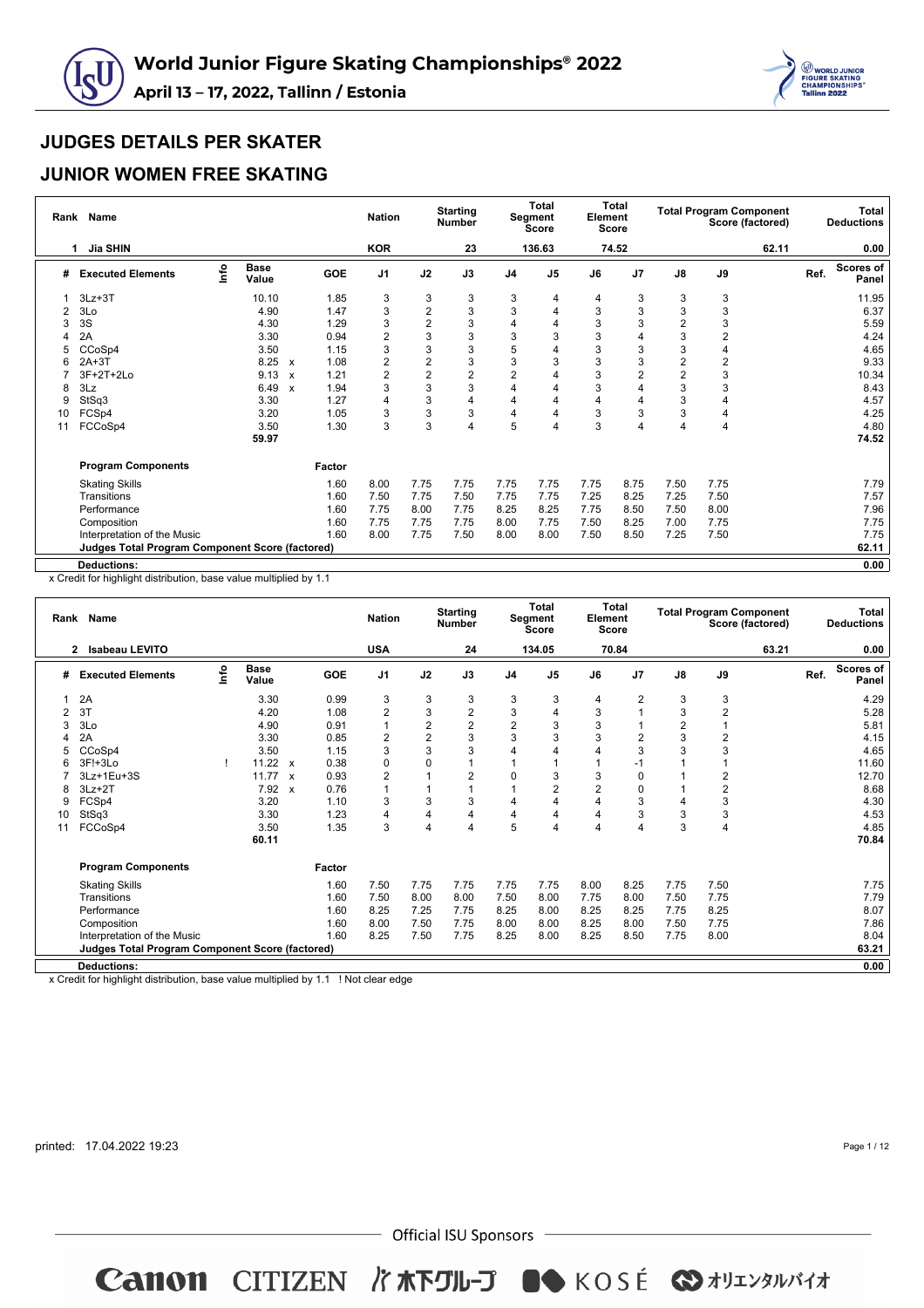



#### **JUNIOR WOMEN FREE SKATING**

| Rank | Name                                            |      |                      |                           |            | <b>Nation</b>  |                | <b>Starting</b><br><b>Number</b> |                | <b>Total</b><br>Segment<br>Score | Element | <b>Total</b><br><b>Score</b> |                |                | <b>Total Program Component</b><br>Score (factored) |      | <b>Total</b><br><b>Deductions</b> |
|------|-------------------------------------------------|------|----------------------|---------------------------|------------|----------------|----------------|----------------------------------|----------------|----------------------------------|---------|------------------------------|----------------|----------------|----------------------------------------------------|------|-----------------------------------|
|      | Jia SHIN<br>1                                   |      |                      |                           |            | <b>KOR</b>     |                | 23                               |                | 136.63                           |         | 74.52                        |                |                | 62.11                                              |      | 0.00                              |
| #    | <b>Executed Elements</b>                        | lnfo | <b>Base</b><br>Value |                           | <b>GOE</b> | J <sub>1</sub> | J2             | J3                               | J <sub>4</sub> | J <sub>5</sub>                   | J6      | J7                           | $\mathsf{J}8$  | J9             |                                                    | Ref. | <b>Scores of</b><br>Panel         |
|      | $3Lz + 3T$                                      |      | 10.10                |                           | 1.85       | 3              | 3              | 3                                | 3              | 4                                | 4       | 3                            | 3              | 3              |                                                    |      | 11.95                             |
| 2    | 3Lo                                             |      | 4.90                 |                           | 1.47       | 3              | $\overline{2}$ | 3                                | 3              |                                  | 3       | 3                            | 3              | 3              |                                                    |      | 6.37                              |
| 3    | 3S                                              |      | 4.30                 |                           | 1.29       | 3              | $\overline{2}$ | 3                                | 4              | 4                                | 3       | 3                            | 2              | 3              |                                                    |      | 5.59                              |
|      | 2A                                              |      | 3.30                 |                           | 0.94       | $\overline{2}$ | 3              | 3                                | 3              | 3                                | 3       | 4                            | 3              | $\overline{2}$ |                                                    |      | 4.24                              |
|      | CCoSp4                                          |      | 3.50                 |                           | 1.15       | 3              | 3              | 3                                | 5              | 4                                | 3       | 3                            | 3              | $\overline{4}$ |                                                    |      | 4.65                              |
|      | 2A+3T                                           |      | 8.25                 | $\boldsymbol{\mathsf{x}}$ | 1.08       | 2              | $\overline{2}$ | 3                                | 3              | 3                                | 3       | 3                            | $\overline{2}$ | $\overline{2}$ |                                                    |      | 9.33                              |
|      | $3F+2T+2Lo$                                     |      | 9.13                 | $\boldsymbol{\mathsf{x}}$ | 1.21       | 2              | $\overline{2}$ | 2                                | $\overline{2}$ |                                  | 3       | $\overline{c}$               | $\overline{c}$ | $\mathbf{3}$   |                                                    |      | 10.34                             |
| 8    | 3Lz                                             |      | 6.49                 | $\boldsymbol{\mathsf{x}}$ | 1.94       | 3              | 3              | 3                                | 4              | 4                                | 3       | 4                            | 3              | 3              |                                                    |      | 8.43                              |
| 9    | StSq3                                           |      | 3.30                 |                           | 1.27       | 4              | 3              | 4                                | 4              | 4                                | 4       | $\overline{4}$               | 3              | 4              |                                                    |      | 4.57                              |
| 10   | FCSp4                                           |      | 3.20                 |                           | 1.05       | 3              | 3              | 3                                | 4              | 4                                | 3       | 3                            | 3              | 4              |                                                    |      | 4.25                              |
| 11   | FCCoSp4                                         |      | 3.50                 |                           | 1.30       | 3              | 3              | 4                                | 5              | 4                                | 3       | 4                            | 4              | $\overline{4}$ |                                                    |      | 4.80                              |
|      |                                                 |      | 59.97                |                           |            |                |                |                                  |                |                                  |         |                              |                |                |                                                    |      | 74.52                             |
|      | <b>Program Components</b>                       |      |                      |                           | Factor     |                |                |                                  |                |                                  |         |                              |                |                |                                                    |      |                                   |
|      | <b>Skating Skills</b>                           |      |                      |                           | 1.60       | 8.00           | 7.75           | 7.75                             | 7.75           | 7.75                             | 7.75    | 8.75                         | 7.50           | 7.75           |                                                    |      | 7.79                              |
|      | Transitions                                     |      |                      |                           | 1.60       | 7.50           | 7.75           | 7.50                             | 7.75           | 7.75                             | 7.25    | 8.25                         | 7.25           | 7.50           |                                                    |      | 7.57                              |
|      | Performance                                     |      |                      |                           | 1.60       | 7.75           | 8.00           | 7.75                             | 8.25           | 8.25                             | 7.75    | 8.50                         | 7.50           | 8.00           |                                                    |      | 7.96                              |
|      | Composition                                     |      |                      |                           | 1.60       | 7.75           | 7.75           | 7.75                             | 8.00           | 7.75                             | 7.50    | 8.25                         | 7.00           | 7.75           |                                                    |      | 7.75                              |
|      | Interpretation of the Music                     |      |                      |                           | 1.60       | 8.00           | 7.75           | 7.50                             | 8.00           | 8.00                             | 7.50    | 8.50                         | 7.25           | 7.50           |                                                    |      | 7.75                              |
|      | Judges Total Program Component Score (factored) |      |                      |                           |            |                |                |                                  |                |                                  |         |                              |                |                |                                                    |      | 62.11                             |
|      | <b>Deductions:</b>                              |      |                      |                           |            |                |                |                                  |                |                                  |         |                              |                |                |                                                    |      | 0.00                              |

x Credit for highlight distribution, base value multiplied by 1.1

| Rank | Name                                                   |      |                      |              |        | <b>Nation</b>  |                | <b>Starting</b><br><b>Number</b> |                | <b>Total</b><br>Segment<br><b>Score</b> | Element<br>Score | <b>Total</b>   |                | <b>Total Program Component</b><br>Score (factored) |       |      | Total<br><b>Deductions</b> |
|------|--------------------------------------------------------|------|----------------------|--------------|--------|----------------|----------------|----------------------------------|----------------|-----------------------------------------|------------------|----------------|----------------|----------------------------------------------------|-------|------|----------------------------|
|      | <b>Isabeau LEVITO</b><br>2                             |      |                      |              |        | <b>USA</b>     |                | 24                               |                | 134.05                                  |                  | 70.84          |                |                                                    | 63.21 |      | 0.00                       |
| #    | <b>Executed Elements</b>                               | lnfo | <b>Base</b><br>Value |              | GOE    | J <sub>1</sub> | J2             | J3                               | J <sub>4</sub> | J <sub>5</sub>                          | J6               | J7             | $\mathsf{J}8$  | J9                                                 |       | Ref. | <b>Scores of</b><br>Panel  |
|      | 2A                                                     |      | 3.30                 |              | 0.99   | 3              | 3              | 3                                | 3              | 3                                       | 4                | 2              | 3              | 3                                                  |       |      | 4.29                       |
| 2    | 3T                                                     |      | 4.20                 |              | 1.08   | $\overline{2}$ | 3              | $\overline{2}$                   | 3              | 4                                       | 3                | $\overline{1}$ | 3              | $\overline{2}$                                     |       |      | 5.28                       |
| 3    | 3Lo                                                    |      | 4.90                 |              | 0.91   | $\mathbf{1}$   | $\overline{2}$ | $\overline{2}$                   | $\overline{2}$ | 3                                       | 3                | 1              | $\overline{2}$ | $\mathbf{1}$                                       |       |      | 5.81                       |
|      | 2A                                                     |      | 3.30                 |              | 0.85   | $\overline{2}$ | $\overline{2}$ | 3                                | 3              | 3                                       | 3                | $\overline{2}$ | 3              | $\overline{2}$                                     |       |      | 4.15                       |
| 5    | CCoSp4                                                 |      | 3.50                 |              | 1.15   | 3              | 3              | 3                                | 4              |                                         | 4                | 3              | 3              | 3                                                  |       |      | 4.65                       |
| 6    | 3F!+3Lo                                                |      | 11.22 $x$            |              | 0.38   | 0              | $\mathbf 0$    | 4                                |                |                                         | 1                | $-1$           |                | $\overline{1}$                                     |       |      | 11.60                      |
|      | 3Lz+1Eu+3S                                             |      | 11.77                | $\mathsf{x}$ | 0.93   | $\overline{c}$ |                | 2                                | $\mathbf 0$    | 3                                       | 3                | 0              |                | $\overline{c}$                                     |       |      | 12.70                      |
| 8    | $3Lz + 2T$                                             |      | 7.92 x               |              | 0.76   | 1              |                | $\overline{A}$                   | $\overline{A}$ | $\overline{c}$                          | $\overline{2}$   | $\Omega$       |                | $\overline{2}$                                     |       |      | 8.68                       |
| 9    | FCSp4                                                  |      | 3.20                 |              | 1.10   | 3              | 3              | 3                                | 4              | 4                                       | 4                | 3              | 4              | 3                                                  |       |      | 4.30                       |
| 10   | StSq3                                                  |      | 3.30                 |              | 1.23   | 4              | $\overline{4}$ | 4                                | $\overline{4}$ | $\overline{4}$                          | 4                | 3              | 3              | 3                                                  |       |      | 4.53                       |
| 11   | FCCoSp4                                                |      | 3.50                 |              | 1.35   | 3              | 4              | 4                                | 5              | 4                                       | 4                | 4              | 3              | $\overline{4}$                                     |       |      | 4.85                       |
|      |                                                        |      | 60.11                |              |        |                |                |                                  |                |                                         |                  |                |                |                                                    |       |      | 70.84                      |
|      | <b>Program Components</b>                              |      |                      |              | Factor |                |                |                                  |                |                                         |                  |                |                |                                                    |       |      |                            |
|      | <b>Skating Skills</b>                                  |      |                      |              | 1.60   | 7.50           | 7.75           | 7.75                             | 7.75           | 7.75                                    | 8.00             | 8.25           | 7.75           | 7.50                                               |       |      | 7.75                       |
|      | Transitions                                            |      |                      |              | 1.60   | 7.50           | 8.00           | 8.00                             | 7.50           | 8.00                                    | 7.75             | 8.00           | 7.50           | 7.75                                               |       |      | 7.79                       |
|      | Performance                                            |      |                      |              | 1.60   | 8.25           | 7.25           | 7.75                             | 8.25           | 8.00                                    | 8.25             | 8.25           | 7.75           | 8.25                                               |       |      | 8.07                       |
|      | Composition                                            |      |                      |              | 1.60   | 8.00           | 7.50           | 7.75                             | 8.00           | 8.00                                    | 8.25             | 8.00           | 7.50           | 7.75                                               |       |      | 7.86                       |
|      | Interpretation of the Music                            |      |                      |              | 1.60   | 8.25           | 7.50           | 7.75                             | 8.25           | 8.00                                    | 8.25             | 8.50           | 7.75           | 8.00                                               |       |      | 8.04                       |
|      | <b>Judges Total Program Component Score (factored)</b> |      |                      |              |        |                |                |                                  |                |                                         |                  |                |                |                                                    |       |      | 63.21                      |
|      | <b>Deductions:</b>                                     |      |                      |              |        |                |                |                                  |                |                                         |                  |                |                |                                                    |       |      | 0.00                       |

x Credit for highlight distribution, base value multiplied by 1.1 ! Not clear edge

printed: 17.04.2022 19:23

Page 1 / 12

 $-$  Official ISU Sponsors  $-$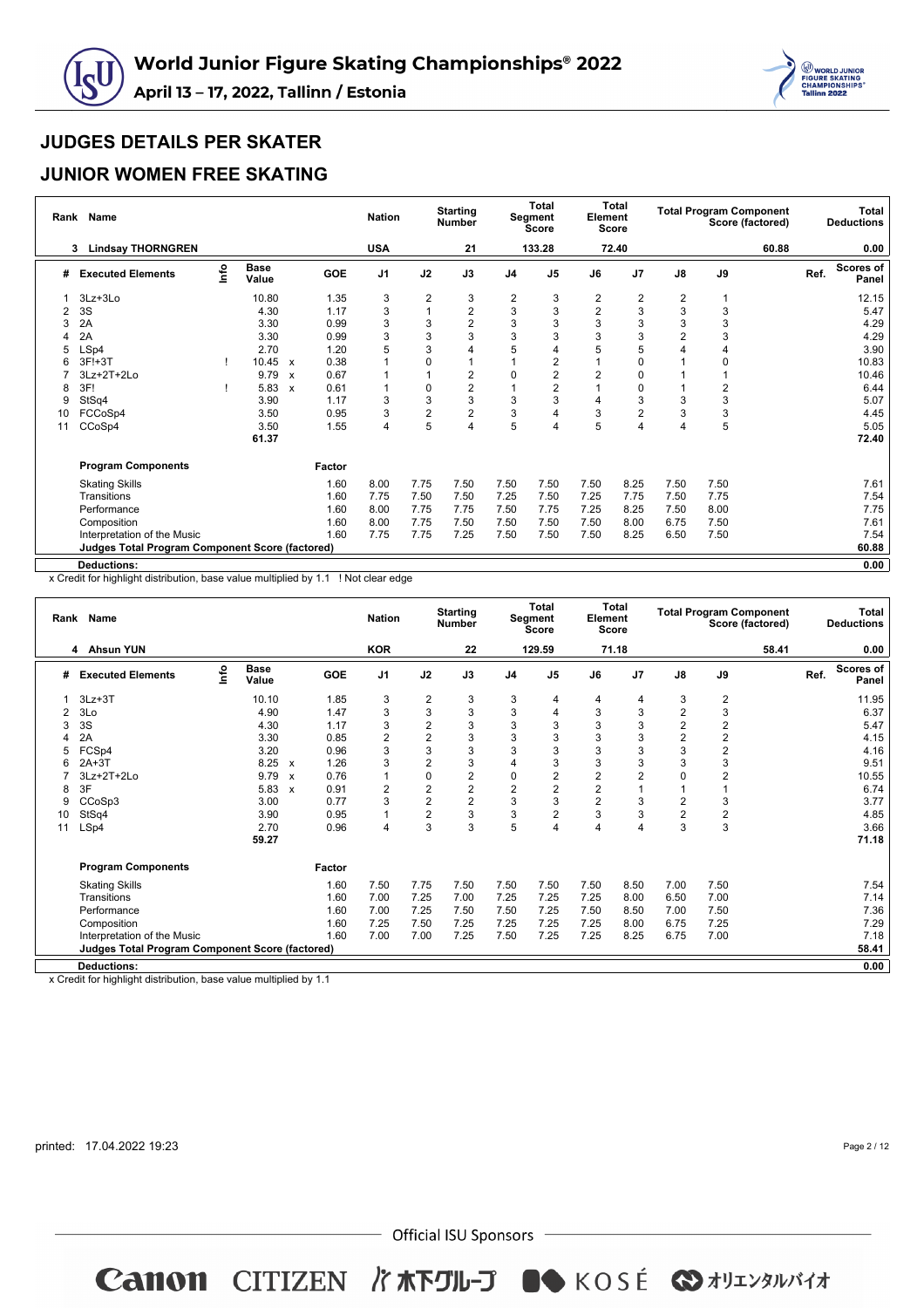



#### **JUNIOR WOMEN FREE SKATING**

| Rank | <b>Name</b>                                            |      |                      |                  |            | <b>Nation</b>  |                | <b>Starting</b><br><b>Number</b> |                         | Total<br>Segment<br><b>Score</b> | Element<br>Score        | Total          |      |                | <b>Total Program Component</b><br>Score (factored) |      | Total<br><b>Deductions</b> |
|------|--------------------------------------------------------|------|----------------------|------------------|------------|----------------|----------------|----------------------------------|-------------------------|----------------------------------|-------------------------|----------------|------|----------------|----------------------------------------------------|------|----------------------------|
|      | <b>Lindsay THORNGREN</b><br>3                          |      |                      |                  |            | <b>USA</b>     |                | 21                               |                         | 133.28                           |                         | 72.40          |      |                | 60.88                                              |      | 0.00                       |
| #    | <b>Executed Elements</b>                               | info | <b>Base</b><br>Value |                  | <b>GOE</b> | J <sub>1</sub> | J2             | J3                               | J <sub>4</sub>          | J <sub>5</sub>                   | J6                      | J <sub>7</sub> | J8   | J9             |                                                    | Ref. | <b>Scores of</b><br>Panel  |
|      | 3Lz+3Lo                                                |      | 10.80                |                  | 1.35       | 3              | $\overline{2}$ | 3                                | $\overline{\mathbf{c}}$ | 3                                | $\overline{\mathbf{c}}$ | 2              | 2    |                |                                                    |      | 12.15                      |
| 2    | 3S                                                     |      | 4.30                 |                  | 1.17       | 3              |                | $\sqrt{2}$                       | 3                       | 3                                | $\overline{2}$          | 3              | 3    | 3              |                                                    |      | 5.47                       |
| 3    | 2A                                                     |      | 3.30                 |                  | 0.99       | 3              | 3              | 2                                | 3                       | 3                                | 3                       | 3              | 3    | 3              |                                                    |      | 4.29                       |
|      | 2A                                                     |      | 3.30                 |                  | 0.99       | 3              | 3              | 3                                | 3                       | 3                                | 3                       | 3              | 2    | 3              |                                                    |      | 4.29                       |
| 5    | LSp4                                                   |      | 2.70                 |                  | 1.20       | 5              | 3              | 4                                | 5                       |                                  | 5                       | 5              | 4    | $\overline{4}$ |                                                    |      | 3.90                       |
|      | $3F!+3T$                                               |      | 10.45                | $\boldsymbol{x}$ | 0.38       |                | $\Omega$       |                                  |                         | 2                                |                         | 0              |      | 0              |                                                    |      | 10.83                      |
|      | 3Lz+2T+2Lo                                             |      | 9.79                 | X                | 0.67       |                |                | 2                                | $\Omega$                | 2                                | $\overline{2}$          | 0              |      |                |                                                    |      | 10.46                      |
|      | 3F!                                                    |      | 5.83                 | X                | 0.61       |                | $\mathbf 0$    | $\overline{2}$                   |                         | 2                                |                         | 0              |      | $\overline{2}$ |                                                    |      | 6.44                       |
| 9    | StSq4                                                  |      | 3.90                 |                  | 1.17       | 3              | 3              | 3                                | 3                       | 3                                | 4                       | 3              | 3    | 3              |                                                    |      | 5.07                       |
| 10   | FCCoSp4                                                |      | 3.50                 |                  | 0.95       | 3              | $\overline{2}$ | $\overline{c}$                   | 3                       | 4                                | 3                       | 2              | 3    | 3              |                                                    |      | 4.45                       |
| 11   | CCoSp4                                                 |      | 3.50                 |                  | 1.55       | 4              | 5              | $\overline{4}$                   | 5                       |                                  | 5                       | 4              | 4    | 5              |                                                    |      | 5.05                       |
|      |                                                        |      | 61.37                |                  |            |                |                |                                  |                         |                                  |                         |                |      |                |                                                    |      | 72.40                      |
|      | <b>Program Components</b>                              |      |                      |                  | Factor     |                |                |                                  |                         |                                  |                         |                |      |                |                                                    |      |                            |
|      | <b>Skating Skills</b>                                  |      |                      |                  | 1.60       | 8.00           | 7.75           | 7.50                             | 7.50                    | 7.50                             | 7.50                    | 8.25           | 7.50 | 7.50           |                                                    |      | 7.61                       |
|      | Transitions                                            |      |                      |                  | 1.60       | 7.75           | 7.50           | 7.50                             | 7.25                    | 7.50                             | 7.25                    | 7.75           | 7.50 | 7.75           |                                                    |      | 7.54                       |
|      | Performance                                            |      |                      |                  | 1.60       | 8.00           | 7.75           | 7.75                             | 7.50                    | 7.75                             | 7.25                    | 8.25           | 7.50 | 8.00           |                                                    |      | 7.75                       |
|      | Composition                                            |      |                      |                  | 1.60       | 8.00           | 7.75           | 7.50                             | 7.50                    | 7.50                             | 7.50                    | 8.00           | 6.75 | 7.50           |                                                    |      | 7.61                       |
|      | Interpretation of the Music                            |      |                      |                  | 1.60       | 7.75           | 7.75           | 7.25                             | 7.50                    | 7.50                             | 7.50                    | 8.25           | 6.50 | 7.50           |                                                    |      | 7.54                       |
|      | <b>Judges Total Program Component Score (factored)</b> |      |                      |                  |            |                |                |                                  |                         |                                  |                         |                |      |                |                                                    |      | 60.88                      |
|      | <b>Deductions:</b>                                     |      |                      |                  |            |                |                |                                  |                         |                                  |                         |                |      |                |                                                    |      | 0.00                       |

x Credit for highlight distribution, base value multiplied by 1.1 ! Not clear edge

| Rank | <b>Name</b>                                            |    |                      |                           |            | <b>Nation</b>  |                | <b>Starting</b><br><b>Number</b> |                | <b>Total</b><br>Segment<br><b>Score</b> | Element        | <b>Total</b><br><b>Score</b> |                         | <b>Total Program Component</b> | Score (factored) |      | <b>Total</b><br><b>Deductions</b> |
|------|--------------------------------------------------------|----|----------------------|---------------------------|------------|----------------|----------------|----------------------------------|----------------|-----------------------------------------|----------------|------------------------------|-------------------------|--------------------------------|------------------|------|-----------------------------------|
|      | 4 Ahsun YUN                                            |    |                      |                           |            | <b>KOR</b>     |                | 22                               |                | 129.59                                  |                | 71.18                        |                         |                                | 58.41            |      | 0.00                              |
| #    | <b>Executed Elements</b>                               | ۴o | <b>Base</b><br>Value |                           | <b>GOE</b> | J <sub>1</sub> | J2             | J3                               | J <sub>4</sub> | J <sub>5</sub>                          | J6             | J7                           | $\mathsf{J}8$           | J9                             |                  | Ref. | <b>Scores of</b><br>Panel         |
|      | $3Lz + 3T$                                             |    | 10.10                |                           | 1.85       | 3              | $\overline{2}$ | 3                                | 3              | 4                                       | 4              | 4                            | 3                       | 2                              |                  |      | 11.95                             |
| 2    | 3Lo                                                    |    | 4.90                 |                           | 1.47       | 3              | 3              | 3                                | 3              | 4                                       | 3              | 3                            | $\overline{\mathbf{c}}$ | 3                              |                  |      | 6.37                              |
| 3    | 3S                                                     |    | 4.30                 |                           | 1.17       | 3              | $\overline{2}$ | 3                                | 3              | 3                                       | 3              | 3                            | $\overline{\mathbf{c}}$ | $\overline{c}$                 |                  |      | 5.47                              |
|      | 2A                                                     |    | 3.30                 |                           | 0.85       | 2              | $\overline{2}$ | 3                                | 3              | 3                                       | 3              | 3                            | $\overline{\mathbf{c}}$ | $\overline{\mathbf{c}}$        |                  |      | 4.15                              |
| 5    | FCSp4                                                  |    | 3.20                 |                           | 0.96       | 3              | 3              | 3                                | 3              | 3                                       | 3              | 3                            | 3                       | $\overline{c}$                 |                  |      | 4.16                              |
| 6    | $2A+3T$                                                |    | 8.25                 | $\boldsymbol{\mathsf{x}}$ | 1.26       | 3              | $\overline{2}$ | 3                                | $\overline{4}$ | 3                                       | 3              | 3                            | 3                       | 3                              |                  |      | 9.51                              |
|      | $3Lz + 2T + 2Lo$                                       |    | 9.79                 | $\boldsymbol{\mathsf{x}}$ | 0.76       |                | $\pmb{0}$      | $\overline{\mathbf{c}}$          | 0              | $\overline{2}$                          | $\overline{2}$ | $\overline{2}$               | 0                       | $\overline{2}$                 |                  |      | 10.55                             |
| 8    | 3F                                                     |    | 5.83                 | $\boldsymbol{\mathsf{x}}$ | 0.91       | 2              | $\overline{2}$ | $\overline{c}$                   | $\overline{2}$ | $\overline{2}$                          | $\overline{2}$ | $\overline{1}$               |                         | 1                              |                  |      | 6.74                              |
| 9    | CCoSp3                                                 |    | 3.00                 |                           | 0.77       | 3              | $\overline{2}$ | $\overline{2}$                   | 3              | 3                                       | $\overline{2}$ | 3                            | 2                       | 3                              |                  |      | 3.77                              |
| 10   | StSq4                                                  |    | 3.90                 |                           | 0.95       | 1              | $\overline{2}$ | 3                                | 3              | $\overline{2}$                          | 3              | 3                            | $\overline{c}$          | $\boldsymbol{2}$               |                  |      | 4.85                              |
| 11   | LSp4                                                   |    | 2.70                 |                           | 0.96       | 4              | 3              | 3                                | 5              | 4                                       | 4              | $\overline{4}$               | 3                       | 3                              |                  |      | 3.66                              |
|      |                                                        |    | 59.27                |                           |            |                |                |                                  |                |                                         |                |                              |                         |                                |                  |      | 71.18                             |
|      | <b>Program Components</b>                              |    |                      |                           | Factor     |                |                |                                  |                |                                         |                |                              |                         |                                |                  |      |                                   |
|      | <b>Skating Skills</b>                                  |    |                      |                           | 1.60       | 7.50           | 7.75           | 7.50                             | 7.50           | 7.50                                    | 7.50           | 8.50                         | 7.00                    | 7.50                           |                  |      | 7.54                              |
|      | Transitions                                            |    |                      |                           | 1.60       | 7.00           | 7.25           | 7.00                             | 7.25           | 7.25                                    | 7.25           | 8.00                         | 6.50                    | 7.00                           |                  |      | 7.14                              |
|      | Performance                                            |    |                      |                           | 1.60       | 7.00           | 7.25           | 7.50                             | 7.50           | 7.25                                    | 7.50           | 8.50                         | 7.00                    | 7.50                           |                  |      | 7.36                              |
|      | Composition                                            |    |                      |                           | 1.60       | 7.25           | 7.50           | 7.25                             | 7.25           | 7.25                                    | 7.25           | 8.00                         | 6.75                    | 7.25                           |                  |      | 7.29                              |
|      | Interpretation of the Music                            |    |                      |                           | 1.60       | 7.00           | 7.00           | 7.25                             | 7.50           | 7.25                                    | 7.25           | 8.25                         | 6.75                    | 7.00                           |                  |      | 7.18                              |
|      | <b>Judges Total Program Component Score (factored)</b> |    |                      |                           |            |                |                |                                  |                |                                         |                |                              |                         |                                |                  |      | 58.41                             |
|      | <b>Deductions:</b>                                     |    |                      |                           |            |                |                |                                  |                |                                         |                |                              |                         |                                |                  |      | 0.00                              |
|      |                                                        |    |                      |                           |            |                |                |                                  |                |                                         |                |                              |                         |                                |                  |      |                                   |

x Credit for highlight distribution, base value multiplied by 1.1

printed: 17.04.2022 19:23

Page 2 / 12

 $-$  Official ISU Sponsors  $-$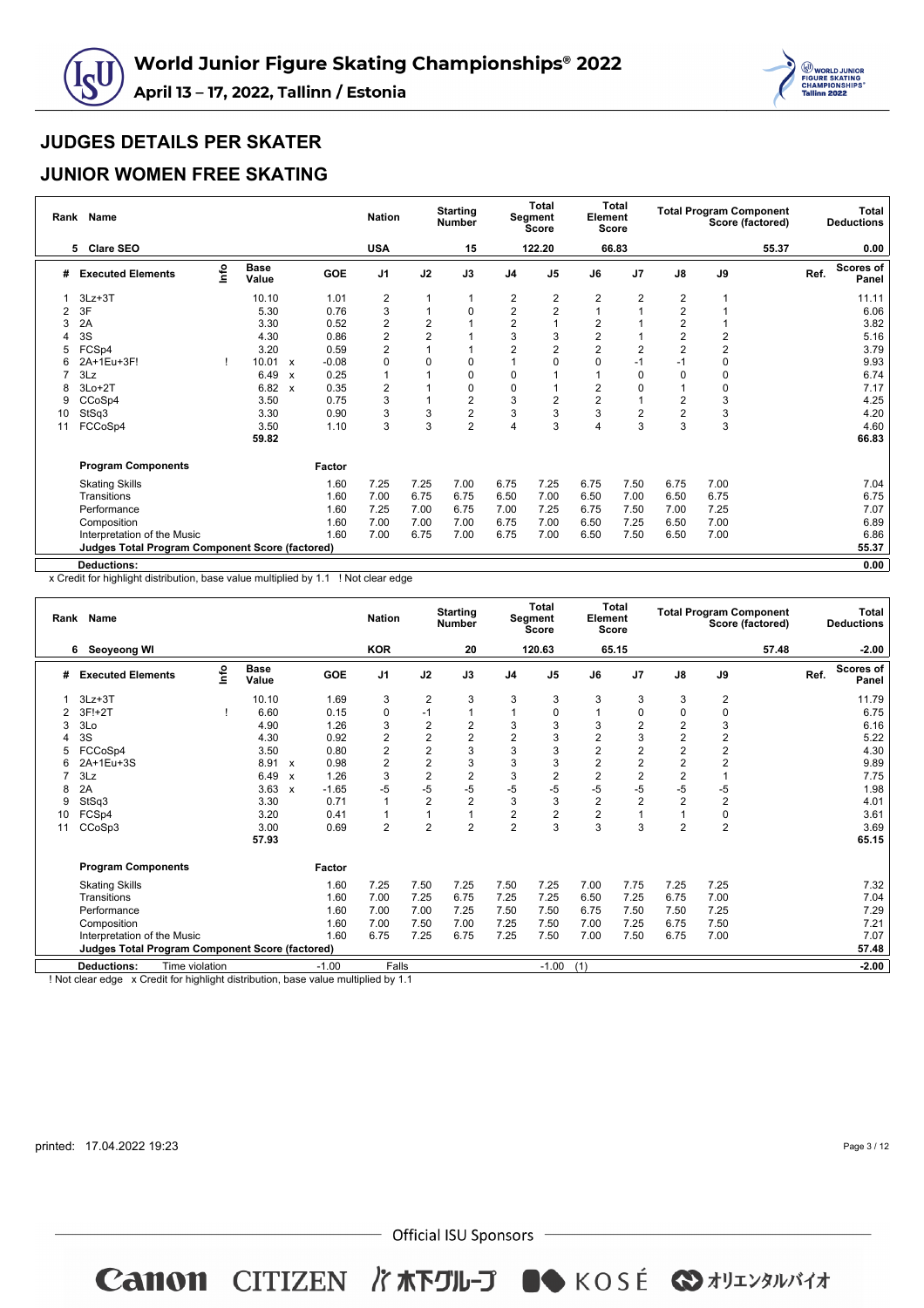



#### **JUNIOR WOMEN FREE SKATING**

| Rank | Name                                                   |      |                      |                                      | <b>Nation</b>  |                | <b>Starting</b><br><b>Number</b> |                | <b>Total</b><br>Segment<br>Score | Element        | <b>Total</b><br><b>Score</b> |                |                | <b>Total Program Component</b><br>Score (factored) |      | Total<br><b>Deductions</b> |
|------|--------------------------------------------------------|------|----------------------|--------------------------------------|----------------|----------------|----------------------------------|----------------|----------------------------------|----------------|------------------------------|----------------|----------------|----------------------------------------------------|------|----------------------------|
|      | <b>Clare SEO</b><br>5                                  |      |                      |                                      | <b>USA</b>     |                | 15                               |                | 122.20                           |                | 66.83                        |                |                | 55.37                                              |      | 0.00                       |
| #    | <b>Executed Elements</b>                               | lnfo | <b>Base</b><br>Value | <b>GOE</b>                           | J <sub>1</sub> | J2             | J3                               | J <sub>4</sub> | J <sub>5</sub>                   | J6             | J <sub>7</sub>               | $\mathsf{J}8$  | J9             |                                                    | Ref. | <b>Scores of</b><br>Panel  |
|      | $3Lz + 3T$                                             |      | 10.10                | 1.01                                 | $\overline{c}$ |                |                                  | 2              | 2                                | 2              | $\overline{2}$               | $\overline{2}$ |                |                                                    |      | 11.11                      |
| 2    | 3F                                                     |      | 5.30                 | 0.76                                 | 3              | $\mathbf{1}$   | 0                                | $\overline{c}$ | $\overline{2}$                   |                | 1                            | $\overline{2}$ |                |                                                    |      | 6.06                       |
| 3    | 2A                                                     |      | 3.30                 | 0.52                                 | $\overline{2}$ | $\overline{2}$ |                                  | $\overline{2}$ |                                  | $\overline{2}$ |                              | 2              |                |                                                    |      | 3.82                       |
|      | 3S                                                     |      | 4.30                 | 0.86                                 | $\overline{2}$ | $\overline{2}$ |                                  | 3              | 3                                | $\overline{2}$ |                              | $\overline{2}$ | $\overline{2}$ |                                                    |      | 5.16                       |
| 5    | FCSp4                                                  |      | 3.20                 | 0.59                                 | $\overline{2}$ |                |                                  | $\overline{2}$ | $\overline{2}$                   | $\overline{2}$ | $\overline{2}$               | $\overline{2}$ | $\overline{2}$ |                                                    |      | 3.79                       |
|      | 2A+1Eu+3F!                                             |      | 10.01                | $-0.08$<br>$\boldsymbol{\mathsf{x}}$ | 0              | $\Omega$       |                                  |                | O                                | 0              | $-1$                         | $-1$           | $\mathbf 0$    |                                                    |      | 9.93                       |
|      | 3Lz                                                    |      | 6.49                 | 0.25<br>$\boldsymbol{x}$             |                |                | 0                                | 0              |                                  |                | 0                            | 0              | 0              |                                                    |      | 6.74                       |
|      | 3Lo+2T                                                 |      | 6.82                 | 0.35<br>$\boldsymbol{\mathsf{x}}$    | $\overline{2}$ |                | 0                                | 0              |                                  | $\overline{2}$ | 0                            |                | $\mathbf 0$    |                                                    |      | 7.17                       |
| 9    | CCoSp4                                                 |      | 3.50                 | 0.75                                 | 3              |                | 2                                | 3              | $\overline{2}$                   | $\overline{2}$ | $\overline{1}$               | $\overline{2}$ | 3              |                                                    |      | 4.25                       |
| 10   | StSq3                                                  |      | 3.30                 | 0.90                                 | 3              | 3              | $\overline{c}$                   | 3              | 3                                | 3              | $\overline{2}$               | $\overline{2}$ | 3              |                                                    |      | 4.20                       |
| 11   | FCCoSp4                                                |      | 3.50                 | 1.10                                 | 3              | 3              | $\overline{2}$                   | 4              | 3                                | 4              | 3                            | 3              | 3              |                                                    |      | 4.60                       |
|      |                                                        |      | 59.82                |                                      |                |                |                                  |                |                                  |                |                              |                |                |                                                    |      | 66.83                      |
|      | <b>Program Components</b>                              |      |                      | Factor                               |                |                |                                  |                |                                  |                |                              |                |                |                                                    |      |                            |
|      | <b>Skating Skills</b>                                  |      |                      | 1.60                                 | 7.25           | 7.25           | 7.00                             | 6.75           | 7.25                             | 6.75           | 7.50                         | 6.75           | 7.00           |                                                    |      | 7.04                       |
|      | Transitions                                            |      |                      | 1.60                                 | 7.00           | 6.75           | 6.75                             | 6.50           | 7.00                             | 6.50           | 7.00                         | 6.50           | 6.75           |                                                    |      | 6.75                       |
|      | Performance                                            |      |                      | 1.60                                 | 7.25           | 7.00           | 6.75                             | 7.00           | 7.25                             | 6.75           | 7.50                         | 7.00           | 7.25           |                                                    |      | 7.07                       |
|      | Composition                                            |      |                      | 1.60                                 | 7.00           | 7.00           | 7.00                             | 6.75           | 7.00                             | 6.50           | 7.25                         | 6.50           | 7.00           |                                                    |      | 6.89                       |
|      | Interpretation of the Music                            |      |                      | 1.60                                 | 7.00           | 6.75           | 7.00                             | 6.75           | 7.00                             | 6.50           | 7.50                         | 6.50           | 7.00           |                                                    |      | 6.86                       |
|      | <b>Judges Total Program Component Score (factored)</b> |      |                      |                                      |                |                |                                  |                |                                  |                |                              |                |                |                                                    |      | 55.37                      |
|      | <b>Deductions:</b>                                     |      |                      |                                      |                |                |                                  |                |                                  |                |                              |                |                |                                                    |      | 0.00                       |

x Credit for highlight distribution, base value multiplied by 1.1 ! Not clear edge

| Rank | <b>Name</b>                                                                                                                                     |    |                      |                           |         | <b>Nation</b>  |                | <b>Starting</b><br><b>Number</b> |                | <b>Total</b><br><b>Segment</b><br><b>Score</b> | Element        | Total<br><b>Score</b> |                         | <b>Total Program Component</b> | Score (factored) |      | <b>Total</b><br><b>Deductions</b> |
|------|-------------------------------------------------------------------------------------------------------------------------------------------------|----|----------------------|---------------------------|---------|----------------|----------------|----------------------------------|----------------|------------------------------------------------|----------------|-----------------------|-------------------------|--------------------------------|------------------|------|-----------------------------------|
|      | 6<br>Seoyeong WI                                                                                                                                |    |                      |                           |         | <b>KOR</b>     |                | 20                               |                | 120.63                                         |                | 65.15                 |                         |                                | 57.48            |      | $-2.00$                           |
| #    | <b>Executed Elements</b>                                                                                                                        | ۴o | <b>Base</b><br>Value |                           | GOE     | J <sub>1</sub> | J2             | J3                               | J <sub>4</sub> | J <sub>5</sub>                                 | J6             | J7                    | $\mathsf{J}8$           | J9                             |                  | Ref. | <b>Scores of</b><br>Panel         |
|      | $3Lz + 3T$                                                                                                                                      |    | 10.10                |                           | 1.69    | 3              | $\overline{2}$ | 3                                | 3              | 3                                              | 3              | 3                     | 3                       | 2                              |                  |      | 11.79                             |
|      | 3F!+2T                                                                                                                                          |    | 6.60                 |                           | 0.15    | 0              | $-1$           |                                  |                | 0                                              |                | $\Omega$              | 0                       | $\pmb{0}$                      |                  |      | 6.75                              |
| 3    | 3Lo                                                                                                                                             |    | 4.90                 |                           | 1.26    | 3              | 2              | $\overline{\mathbf{c}}$          | 3              | 3                                              | 3              | 2                     | 2                       | 3                              |                  |      | 6.16                              |
|      | 3S                                                                                                                                              |    | 4.30                 |                           | 0.92    | 2              | 2              | $\overline{2}$                   | $\overline{c}$ | 3                                              | $\overline{2}$ | 3                     | $\overline{\mathbf{c}}$ | $\overline{\mathbf{c}}$        |                  |      | 5.22                              |
| 5    | FCCoSp4                                                                                                                                         |    | 3.50                 |                           | 0.80    | 2              | $\overline{2}$ | 3                                | 3              | 3                                              | 2              | 2                     | $\overline{\mathbf{c}}$ | $\overline{c}$                 |                  |      | 4.30                              |
|      | 2A+1Eu+3S                                                                                                                                       |    | 8.91                 | $\boldsymbol{\mathsf{x}}$ | 0.98    | 2              | $\overline{2}$ | 3                                | 3              | 3                                              | $\overline{2}$ | 2                     | $\overline{\mathbf{c}}$ | $\overline{c}$                 |                  |      | 9.89                              |
|      | 3Lz                                                                                                                                             |    | 6.49                 | $\boldsymbol{\mathsf{x}}$ | 1.26    | 3              | $\overline{c}$ | $\overline{\mathbf{c}}$          | 3              | $\overline{2}$                                 | $\overline{2}$ | 2                     | $\overline{\mathbf{c}}$ |                                |                  |      | 7.75                              |
| 8    | 2A                                                                                                                                              |    | 3.63                 | $\boldsymbol{\mathsf{x}}$ | $-1.65$ | $-5$           | $-5$           | $-5$                             | $-5$           | $-5$                                           | $-5$           | -5                    | $-5$                    | -5                             |                  |      | 1.98                              |
| 9    | StSq3                                                                                                                                           |    | 3.30                 |                           | 0.71    | 1              | $\overline{2}$ | $\overline{2}$                   | 3              | 3                                              | $\overline{2}$ | 2                     | $\overline{2}$          | $\overline{2}$                 |                  |      | 4.01                              |
| 10   | FCSp4                                                                                                                                           |    | 3.20                 |                           | 0.41    | $\mathbf{1}$   | 1              |                                  | $\overline{c}$ | $\overline{2}$                                 | $\overline{2}$ |                       | 1                       | $\pmb{0}$                      |                  |      | 3.61                              |
| 11   | CCoSp3                                                                                                                                          |    | 3.00                 |                           | 0.69    | $\overline{2}$ | $\overline{2}$ | $\overline{2}$                   | $\overline{2}$ | 3                                              | 3              | 3                     | $\overline{2}$          | $\overline{2}$                 |                  |      | 3.69                              |
|      |                                                                                                                                                 |    | 57.93                |                           |         |                |                |                                  |                |                                                |                |                       |                         |                                |                  |      | 65.15                             |
|      | <b>Program Components</b>                                                                                                                       |    |                      |                           | Factor  |                |                |                                  |                |                                                |                |                       |                         |                                |                  |      |                                   |
|      | <b>Skating Skills</b>                                                                                                                           |    |                      |                           | 1.60    | 7.25           | 7.50           | 7.25                             | 7.50           | 7.25                                           | 7.00           | 7.75                  | 7.25                    | 7.25                           |                  |      | 7.32                              |
|      | Transitions                                                                                                                                     |    |                      |                           | 1.60    | 7.00           | 7.25           | 6.75                             | 7.25           | 7.25                                           | 6.50           | 7.25                  | 6.75                    | 7.00                           |                  |      | 7.04                              |
|      | Performance                                                                                                                                     |    |                      |                           | 1.60    | 7.00           | 7.00           | 7.25                             | 7.50           | 7.50                                           | 6.75           | 7.50                  | 7.50                    | 7.25                           |                  |      | 7.29                              |
|      | Composition                                                                                                                                     |    |                      |                           | 1.60    | 7.00           | 7.50           | 7.00                             | 7.25           | 7.50                                           | 7.00           | 7.25                  | 6.75                    | 7.50                           |                  |      | 7.21                              |
|      | Interpretation of the Music                                                                                                                     |    |                      |                           | 1.60    | 6.75           | 7.25           | 6.75                             | 7.25           | 7.50                                           | 7.00           | 7.50                  | 6.75                    | 7.00                           |                  |      | 7.07                              |
|      | <b>Judges Total Program Component Score (factored)</b>                                                                                          |    |                      |                           |         |                |                |                                  |                |                                                |                |                       |                         |                                |                  |      | 57.48                             |
|      | <b>Deductions:</b><br>Time violation                                                                                                            |    |                      |                           | $-1.00$ | Falls          |                |                                  |                | $-1.00$                                        | (1)            |                       |                         |                                |                  |      | $-2.00$                           |
|      | the Character Constitution to the Character of the Character Constitution of the Character of the Character of<br><b>I Made all and a share</b> |    |                      |                           |         |                |                |                                  |                |                                                |                |                       |                         |                                |                  |      |                                   |

! Not clear edge x Credit for highlight distribution, base value multiplied by 1.1

printed: 17.04.2022 19:23

Page 3 / 12

 $-$  Official ISU Sponsors  $-$ 

Canon CITIZEN I KRIL-J OSKOSÉ & AUILYANNY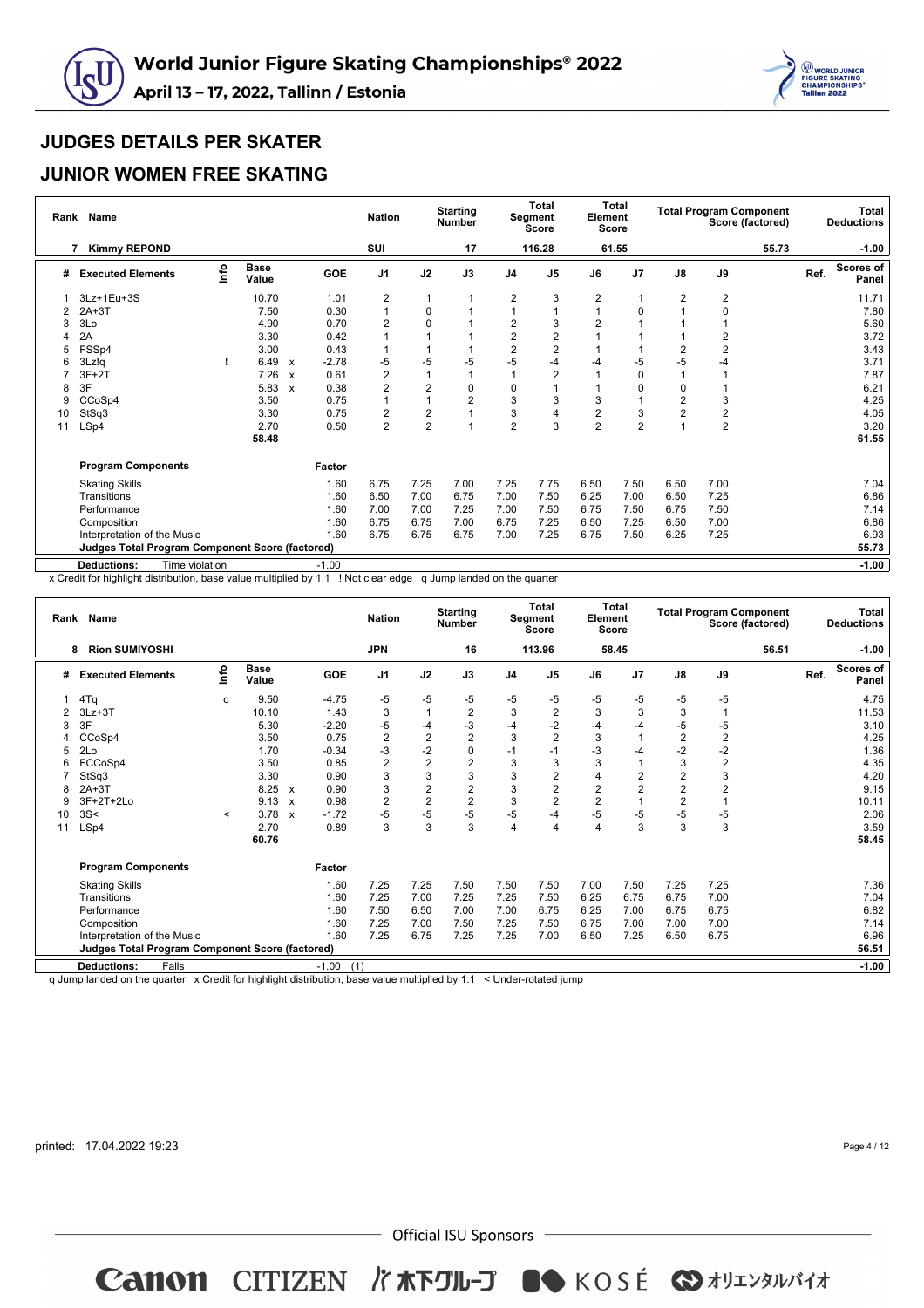



#### **JUNIOR WOMEN FREE SKATING**

| Rank | <b>Name</b>                                            |      |                      |                           |            | <b>Nation</b>  |                         | <b>Starting</b><br><b>Number</b> |                         | <b>Total</b><br>Segment<br><b>Score</b> | Element<br><b>Score</b> | Total          |                         |                         | <b>Total Program Component</b><br>Score (factored) |      | Total<br><b>Deductions</b> |
|------|--------------------------------------------------------|------|----------------------|---------------------------|------------|----------------|-------------------------|----------------------------------|-------------------------|-----------------------------------------|-------------------------|----------------|-------------------------|-------------------------|----------------------------------------------------|------|----------------------------|
|      | <b>Kimmy REPOND</b>                                    |      |                      |                           |            | SUI            |                         | 17                               |                         | 116.28                                  |                         | 61.55          |                         |                         | 55.73                                              |      | $-1.00$                    |
| #    | <b>Executed Elements</b>                               | lnfo | <b>Base</b><br>Value |                           | <b>GOE</b> | J <sub>1</sub> | J2                      | J3                               | J <sub>4</sub>          | J <sub>5</sub>                          | J6                      | J7             | $\mathsf{J}8$           | J9                      |                                                    | Ref. | <b>Scores of</b><br>Panel  |
|      | 3Lz+1Eu+3S                                             |      | 10.70                |                           | 1.01       | 2              |                         |                                  | $\overline{\mathbf{c}}$ | 3                                       | $\overline{\mathbf{c}}$ |                | $\overline{\mathbf{c}}$ | $\overline{\mathbf{c}}$ |                                                    |      | 11.71                      |
| 2    | $2A+3T$                                                |      | 7.50                 |                           | 0.30       | 1              | 0                       |                                  |                         |                                         |                         | O              |                         | 0                       |                                                    |      | 7.80                       |
|      | 3Lo                                                    |      | 4.90                 |                           | 0.70       | $\overline{2}$ | $\Omega$                |                                  | 2                       | 3                                       |                         |                |                         |                         |                                                    |      | 5.60                       |
|      | 2A                                                     |      | 3.30                 |                           | 0.42       | 1              |                         |                                  | $\overline{c}$          | 2                                       |                         |                |                         | 2                       |                                                    |      | 3.72                       |
| 5    | FSSp4                                                  |      | 3.00                 |                           | 0.43       | $\overline{1}$ |                         |                                  | $\overline{2}$          | 2                                       |                         |                | $\overline{2}$          | 2                       |                                                    |      | 3.43                       |
| 6    | 3Lz!q                                                  |      | 6.49                 | $\boldsymbol{\mathsf{x}}$ | $-2.78$    | -5             | -5                      | -5                               | $-5$                    | -4                                      | -4                      | -5             | $-5$                    | -4                      |                                                    |      | 3.71                       |
|      | $3F+2T$                                                |      | 7.26                 | $\boldsymbol{\mathsf{x}}$ | 0.61       | 2              |                         |                                  |                         | $\overline{2}$                          |                         | $\Omega$       |                         |                         |                                                    |      | 7.87                       |
| 8    | 3F                                                     |      | 5.83                 | $\boldsymbol{\mathsf{x}}$ | 0.38       | $\overline{2}$ | $\overline{2}$          | $\mathbf 0$                      | $\mathbf 0$             |                                         |                         |                | 0                       |                         |                                                    |      | 6.21                       |
| 9    | CCoSp4                                                 |      | 3.50                 |                           | 0.75       | 1              |                         | $\overline{2}$                   | 3                       | 3                                       | 3                       |                | $\overline{2}$          | 3                       |                                                    |      | 4.25                       |
| 10   | StSq3                                                  |      | 3.30                 |                           | 0.75       | 2              | $\overline{\mathbf{c}}$ |                                  | 3                       |                                         | $\overline{2}$          | 3              | $\overline{2}$          | 2                       |                                                    |      | 4.05                       |
| 11   | LSp4                                                   |      | 2.70                 |                           | 0.50       | $\overline{2}$ | $\overline{2}$          |                                  | $\overline{2}$          | 3                                       | $\overline{2}$          | $\overline{2}$ |                         | $\overline{2}$          |                                                    |      | 3.20                       |
|      |                                                        |      | 58.48                |                           |            |                |                         |                                  |                         |                                         |                         |                |                         |                         |                                                    |      | 61.55                      |
|      | <b>Program Components</b>                              |      |                      |                           | Factor     |                |                         |                                  |                         |                                         |                         |                |                         |                         |                                                    |      |                            |
|      | <b>Skating Skills</b>                                  |      |                      |                           | 1.60       | 6.75           | 7.25                    | 7.00                             | 7.25                    | 7.75                                    | 6.50                    | 7.50           | 6.50                    | 7.00                    |                                                    |      | 7.04                       |
|      | Transitions                                            |      |                      |                           | 1.60       | 6.50           | 7.00                    | 6.75                             | 7.00                    | 7.50                                    | 6.25                    | 7.00           | 6.50                    | 7.25                    |                                                    |      | 6.86                       |
|      | Performance                                            |      |                      |                           | 1.60       | 7.00           | 7.00                    | 7.25                             | 7.00                    | 7.50                                    | 6.75                    | 7.50           | 6.75                    | 7.50                    |                                                    |      | 7.14                       |
|      | Composition                                            |      |                      |                           | 1.60       | 6.75           | 6.75                    | 7.00                             | 6.75                    | 7.25                                    | 6.50                    | 7.25           | 6.50                    | 7.00                    |                                                    |      | 6.86                       |
|      | Interpretation of the Music                            |      |                      |                           | 1.60       | 6.75           | 6.75                    | 6.75                             | 7.00                    | 7.25                                    | 6.75                    | 7.50           | 6.25                    | 7.25                    |                                                    |      | 6.93                       |
|      | <b>Judges Total Program Component Score (factored)</b> |      |                      |                           |            |                |                         |                                  |                         |                                         |                         |                |                         |                         |                                                    |      | 55.73                      |
|      | Time violation<br><b>Deductions:</b>                   |      |                      |                           | $-1.00$    |                |                         |                                  |                         |                                         |                         |                |                         |                         |                                                    |      | $-1.00$                    |

x Credit for highlight distribution, base value multiplied by 1.1 ! Not clear edge q Jump landed on the quarter

| <b>Rion SUMIYOSHI</b><br><b>JPN</b><br>113.96<br>16<br>58.45<br>56.51<br>8<br>Info<br><b>Base</b><br>J <sub>1</sub><br>J2<br>J <sub>7</sub><br>$\mathsf{J}8$<br>J9<br>Ref.<br>GOE<br>J3<br>J <sub>4</sub><br>J <sub>5</sub><br>J6<br><b>Executed Elements</b><br>#<br>Value | $-1.00$<br><b>Scores of</b><br>Panel<br>4.75<br>11.53 |
|-----------------------------------------------------------------------------------------------------------------------------------------------------------------------------------------------------------------------------------------------------------------------------|-------------------------------------------------------|
|                                                                                                                                                                                                                                                                             |                                                       |
|                                                                                                                                                                                                                                                                             |                                                       |
| 9.50<br>-5<br>-5<br>$-5$<br>$-5$<br>$-5$<br>$-5$<br>$-4.75$<br>$-5$<br>-5<br>-5<br>4Tq<br>q                                                                                                                                                                                 |                                                       |
| 3<br>$\mathsf 3$<br>3<br>2<br>$\overline{\mathbf{c}}$<br>3<br>3<br>1<br>$3Lz + 3T$<br>10.10<br>1.43                                                                                                                                                                         |                                                       |
| $-3$<br>$-2$<br>$-5$<br>3F<br>-5<br>$-5$<br>5.30<br>$-2.20$<br>$-4$<br>$-4$<br>3<br>-4<br>-4                                                                                                                                                                                | 3.10                                                  |
| $\overline{2}$<br>$\overline{2}$<br>$\overline{2}$<br>$\overline{2}$<br>$\overline{2}$<br>3<br>$\overline{2}$<br>3<br>3.50<br>0.75<br>CCoSp4                                                                                                                                | 4.25                                                  |
| $-2$<br>$-2$<br>$-2$<br>$-3$<br>-3<br>1.70<br>$-0.34$<br>0<br>2Lo<br>$-1$<br>-4<br>$-1$<br>5                                                                                                                                                                                | 1.36                                                  |
| $\overline{2}$<br>$\overline{2}$<br>3<br>$\overline{2}$<br>3<br>$\overline{2}$<br>3<br>0.85<br>3<br>FCCoSp4<br>3.50<br>6                                                                                                                                                    | 4.35                                                  |
| 3<br>3<br>3<br>2<br>3<br>3<br>3.30<br>0.90<br>2<br>$\overline{2}$<br>StSq3<br>4                                                                                                                                                                                             | 4.20                                                  |
| $\overline{2}$<br>3<br>3<br>$\overline{2}$<br>$\overline{2}$<br>$\overline{2}$<br>$\overline{2}$<br>$\overline{2}$<br>$\overline{2}$<br>$2A+3T$<br>8.25<br>0.90<br>$\boldsymbol{\mathsf{x}}$                                                                                | 9.15                                                  |
| $\overline{2}$<br>$\overline{2}$<br>$\overline{2}$<br>3<br>$\overline{2}$<br>$\overline{2}$<br>$\overline{2}$<br>9.13<br>0.98<br>3F+2T+2Lo<br>9<br>$\mathbf{x}$                                                                                                             | 10.11                                                 |
| $-5$<br>$-5$<br>$-5$<br>$-5$<br>$-5$<br>$-5$<br>$-5$<br>$-1.72$<br>-5<br>3S<<br>3.78<br>-4<br>10<br>$\mathbf{x}$<br>$\,<\,$                                                                                                                                                 | 2.06                                                  |
| 3<br>3<br>3<br>3<br>3<br>3<br>2.70<br>0.89<br>$\overline{4}$<br>LSp4<br>4<br>11<br>4                                                                                                                                                                                        | 3.59                                                  |
| 60.76                                                                                                                                                                                                                                                                       | 58.45                                                 |
| <b>Program Components</b><br>Factor                                                                                                                                                                                                                                         |                                                       |
| 7.50<br>7.50<br>7.25<br>1.60<br>7.25<br>7.25<br>7.50<br>7.00<br>7.50<br>7.25<br><b>Skating Skills</b>                                                                                                                                                                       | 7.36                                                  |
| 7.25<br>Transitions<br>1.60<br>7.00<br>7.25<br>7.25<br>7.50<br>6.25<br>6.75<br>6.75<br>7.00                                                                                                                                                                                 | 7.04                                                  |
| 1.60<br>7.50<br>6.75<br>6.25<br>7.00<br>6.75<br>6.75<br>Performance<br>6.50<br>7.00<br>7.00                                                                                                                                                                                 | 6.82                                                  |
| 1.60<br>7.25<br>6.75<br>7.00<br>7.00<br>Composition<br>7.00<br>7.50<br>7.25<br>7.50<br>7.00                                                                                                                                                                                 | 7.14                                                  |
| 1.60<br>7.25<br>7.25<br>Interpretation of the Music<br>6.75<br>7.25<br>7.25<br>7.00<br>6.50<br>6.50<br>6.75                                                                                                                                                                 | 6.96                                                  |
| <b>Judges Total Program Component Score (factored)</b>                                                                                                                                                                                                                      | 56.51                                                 |
| $-1.00$<br>(1)<br><b>Deductions:</b><br>Falls                                                                                                                                                                                                                               | $-1.00$                                               |

q Jump landed on the quarter x Credit for highlight distribution, base value multiplied by 1.1 < Under-rotated jump

printed: 17.04.2022 19:23

Page 4 / 12

 $-$  Official ISU Sponsors  $-$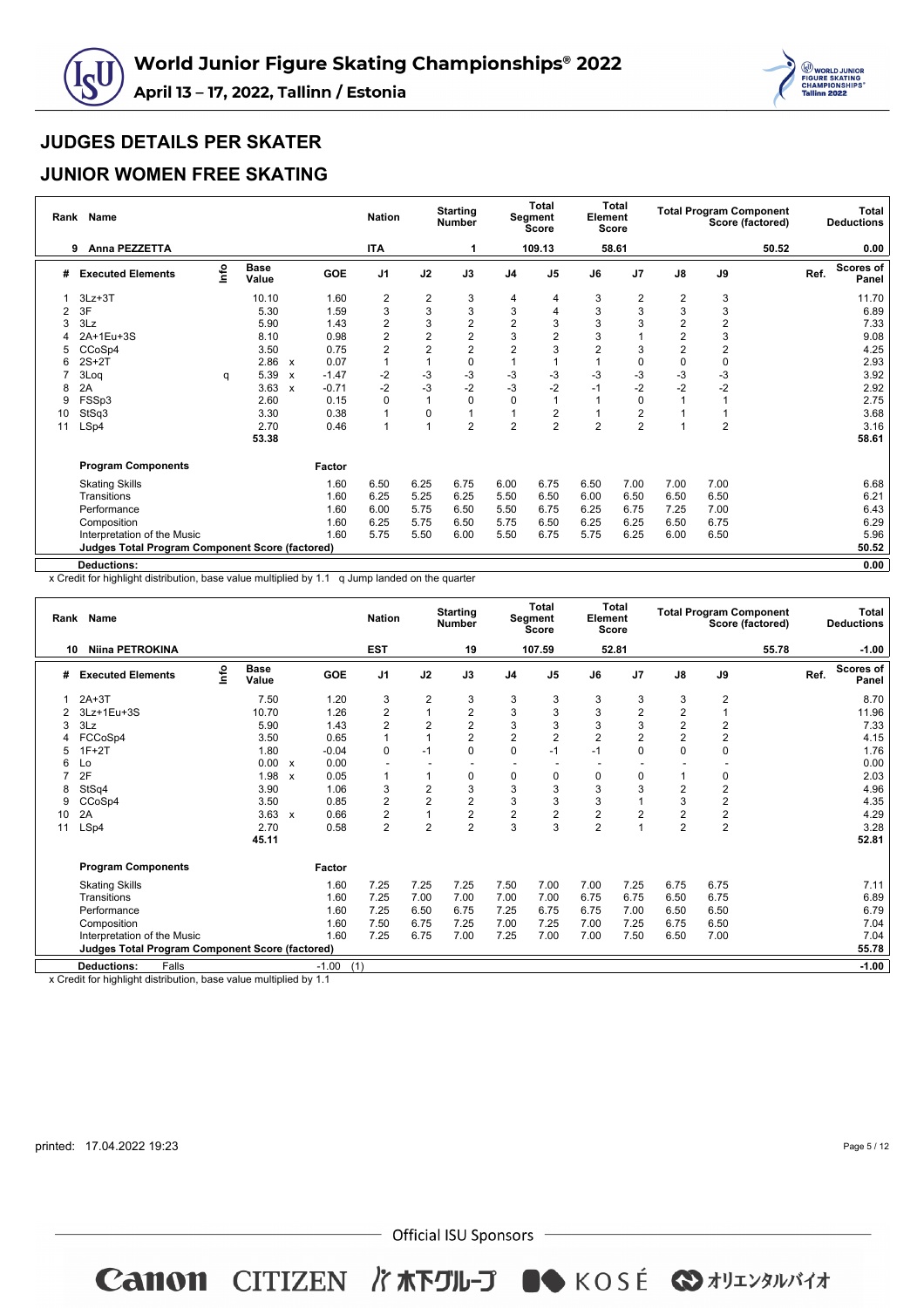



#### **JUNIOR WOMEN FREE SKATING**

| Rank | <b>Name</b>                                     |      |                      |                           |            | <b>Nation</b>           |                         | <b>Starting</b><br><b>Number</b> |                | <b>Total</b><br>Segment<br>Score | Element        | Total<br><b>Score</b> |                         |                | <b>Total Program Component</b><br>Score (factored) |      | <b>Total</b><br><b>Deductions</b> |
|------|-------------------------------------------------|------|----------------------|---------------------------|------------|-------------------------|-------------------------|----------------------------------|----------------|----------------------------------|----------------|-----------------------|-------------------------|----------------|----------------------------------------------------|------|-----------------------------------|
|      | Anna PEZZETTA<br>9                              |      |                      |                           |            | <b>ITA</b>              |                         |                                  |                | 109.13                           |                | 58.61                 |                         |                | 50.52                                              |      | 0.00                              |
| #    | <b>Executed Elements</b>                        | lnfo | <b>Base</b><br>Value |                           | <b>GOE</b> | J <sub>1</sub>          | J2                      | J3                               | J <sub>4</sub> | J <sub>5</sub>                   | J6             | J <sub>7</sub>        | $\mathsf{J}8$           | J9             |                                                    | Ref. | <b>Scores of</b><br>Panel         |
|      | $3Lz + 3T$                                      |      | 10.10                |                           | 1.60       | $\overline{\mathbf{c}}$ | $\overline{\mathbf{c}}$ | 3                                | 4              | 4                                | 3              | 2                     | 2                       | 3              |                                                    |      | 11.70                             |
| 2    | 3F                                              |      | 5.30                 |                           | 1.59       | 3                       | 3                       | 3                                | 3              | 4                                | 3              | 3                     | 3                       | 3              |                                                    |      | 6.89                              |
|      | 3Lz                                             |      | 5.90                 |                           | 1.43       | $\overline{2}$          | 3                       | $\overline{\mathbf{c}}$          | $\overline{2}$ | 3                                | 3              | 3                     | 2                       | $\overline{c}$ |                                                    |      | 7.33                              |
|      | 2A+1Eu+3S                                       |      | 8.10                 |                           | 0.98       | $\overline{\mathbf{c}}$ | $\overline{2}$          | $\overline{\mathbf{c}}$          | 3              | $\overline{2}$                   | 3              |                       | $\overline{\mathbf{c}}$ | 3              |                                                    |      | 9.08                              |
| 5    | CCoSp4                                          |      | 3.50                 |                           | 0.75       | $\overline{2}$          | $\overline{2}$          | $\overline{2}$                   | $\overline{2}$ | 3                                | $\overline{2}$ | 3                     | $\overline{c}$          | $\overline{c}$ |                                                    |      | 4.25                              |
|      | $2S+2T$                                         |      | 2.86                 | $\boldsymbol{\mathsf{x}}$ | 0.07       |                         |                         | $\mathbf 0$                      |                |                                  |                | 0                     | $\pmb{0}$               | $\mathbf 0$    |                                                    |      | 2.93                              |
|      | 3Log                                            | q    | 5.39                 | $\boldsymbol{\mathsf{x}}$ | $-1.47$    | $-2$                    | -3                      | -3                               | -3             | -3                               | $-3$           | -3                    | $-3$                    | $-3$           |                                                    |      | 3.92                              |
| 8    | 2A                                              |      | 3.63                 | $\boldsymbol{\mathsf{x}}$ | $-0.71$    | $-2$                    | $-3$                    | $-2$                             | $-3$           | $-2$                             | $-1$           | $-2$                  | $-2$                    | $-2$           |                                                    |      | 2.92                              |
| 9    | FSSp3                                           |      | 2.60                 |                           | 0.15       | 0                       |                         |                                  | 0              |                                  |                | $\mathbf 0$           |                         |                |                                                    |      | 2.75                              |
| 10   | StSq3                                           |      | 3.30                 |                           | 0.38       |                         | $\mathbf 0$             |                                  |                | 2                                |                | 2                     |                         |                |                                                    |      | 3.68                              |
| 11   | LSp4                                            |      | 2.70                 |                           | 0.46       | 1                       | $\overline{1}$          | $\overline{2}$                   | $\overline{2}$ | $\overline{2}$                   | $\overline{2}$ | $\overline{c}$        |                         | $\overline{2}$ |                                                    |      | 3.16                              |
|      |                                                 |      | 53.38                |                           |            |                         |                         |                                  |                |                                  |                |                       |                         |                |                                                    |      | 58.61                             |
|      | <b>Program Components</b>                       |      |                      |                           | Factor     |                         |                         |                                  |                |                                  |                |                       |                         |                |                                                    |      |                                   |
|      | <b>Skating Skills</b>                           |      |                      |                           | 1.60       | 6.50                    | 6.25                    | 6.75                             | 6.00           | 6.75                             | 6.50           | 7.00                  | 7.00                    | 7.00           |                                                    |      | 6.68                              |
|      | Transitions                                     |      |                      |                           | 1.60       | 6.25                    | 5.25                    | 6.25                             | 5.50           | 6.50                             | 6.00           | 6.50                  | 6.50                    | 6.50           |                                                    |      | 6.21                              |
|      | Performance                                     |      |                      |                           | 1.60       | 6.00                    | 5.75                    | 6.50                             | 5.50           | 6.75                             | 6.25           | 6.75                  | 7.25                    | 7.00           |                                                    |      | 6.43                              |
|      | Composition                                     |      |                      |                           | 1.60       | 6.25                    | 5.75                    | 6.50                             | 5.75           | 6.50                             | 6.25           | 6.25                  | 6.50                    | 6.75           |                                                    |      | 6.29                              |
|      | Interpretation of the Music                     |      |                      |                           | 1.60       | 5.75                    | 5.50                    | 6.00                             | 5.50           | 6.75                             | 5.75           | 6.25                  | 6.00                    | 6.50           |                                                    |      | 5.96                              |
|      | Judges Total Program Component Score (factored) |      |                      |                           |            |                         |                         |                                  |                |                                  |                |                       |                         |                |                                                    |      | 50.52                             |
|      | <b>Deductions:</b>                              |      |                      |                           |            |                         |                         |                                  |                |                                  |                |                       |                         |                |                                                    |      | 0.00                              |

x Credit for highlight distribution, base value multiplied by 1.1 q Jump landed on the quarter

| Rank | <b>Name</b>                                     |          |                      |                           |            | <b>Nation</b>            |                | <b>Starting</b><br><b>Number</b> |                | Total<br>Segment<br><b>Score</b> | Element        | Total<br>Score |                         |                         | <b>Total Program Component</b><br>Score (factored) |      | <b>Total</b><br><b>Deductions</b> |
|------|-------------------------------------------------|----------|----------------------|---------------------------|------------|--------------------------|----------------|----------------------------------|----------------|----------------------------------|----------------|----------------|-------------------------|-------------------------|----------------------------------------------------|------|-----------------------------------|
| 10   | <b>Niina PETROKINA</b>                          |          |                      |                           |            | <b>EST</b>               |                | 19                               |                | 107.59                           |                | 52.81          |                         |                         | 55.78                                              |      | $-1.00$                           |
| #    | <b>Executed Elements</b>                        | <b>o</b> | <b>Base</b><br>Value |                           | <b>GOE</b> | J <sub>1</sub>           | J2             | J3                               | J <sub>4</sub> | J <sub>5</sub>                   | J6             | J <sub>7</sub> | $\mathsf{J}8$           | J9                      |                                                    | Ref. | <b>Scores of</b><br>Panel         |
|      | $2A+3T$                                         |          | 7.50                 |                           | 1.20       | 3                        | $\overline{2}$ | 3                                | 3              | 3                                | 3              | 3              | 3                       | $\overline{2}$          |                                                    |      | 8.70                              |
|      | 3Lz+1Eu+3S                                      |          | 10.70                |                           | 1.26       | $\overline{2}$           | 1              | 2                                | $\sqrt{3}$     | 3                                | 3              | $\overline{2}$ | 2                       | 1                       |                                                    |      | 11.96                             |
| 3    | 3Lz                                             |          | 5.90                 |                           | 1.43       | $\overline{2}$           | $\overline{2}$ | $\overline{2}$                   | 3              | 3                                | 3              | 3              | $\overline{c}$          | $\overline{2}$          |                                                    |      | 7.33                              |
| 4    | FCCoSp4                                         |          | 3.50                 |                           | 0.65       | 1                        | 1              | $\overline{2}$                   | $\overline{c}$ | 2                                | $\overline{2}$ | $\overline{2}$ | $\overline{\mathbf{c}}$ | $\overline{\mathbf{c}}$ |                                                    |      | 4.15                              |
| 5    | $1F+2T$                                         |          | 1.80                 |                           | $-0.04$    | 0                        | $-1$           | 0                                | $\mathbf 0$    | -1                               | $-1$           | 0              | 0                       | $\mathbf 0$             |                                                    |      | 1.76                              |
| 6    | Lo                                              |          | 0.00                 | $\boldsymbol{\mathsf{x}}$ | 0.00       | $\overline{\phantom{a}}$ |                | $\overline{\phantom{a}}$         |                |                                  |                |                |                         |                         |                                                    |      | 0.00                              |
|      | 2F                                              |          | 1.98                 | $\boldsymbol{\mathsf{x}}$ | 0.05       | 1                        | 1              | 0                                | 0              | 0                                | 0              | 0              |                         | 0                       |                                                    |      | 2.03                              |
| 8    | StSq4                                           |          | 3.90                 |                           | 1.06       | 3                        | $\overline{2}$ | 3                                | 3              | 3                                | 3              | 3              | $\overline{2}$          | $\overline{2}$          |                                                    |      | 4.96                              |
| 9    | CCoSp4                                          |          | 3.50                 |                           | 0.85       | $\overline{2}$           | $\overline{2}$ | $\overline{2}$                   | 3              | 3                                | 3              |                | 3                       | $\overline{2}$          |                                                    |      | 4.35                              |
| 10   | 2A                                              |          | 3.63                 | $\mathsf{x}$              | 0.66       | $\overline{2}$           | 1              | $\overline{2}$                   | $\overline{2}$ | $\overline{2}$                   | $\overline{2}$ | $\overline{2}$ | $\overline{2}$          | $\frac{2}{2}$           |                                                    |      | 4.29                              |
| 11   | LSp4                                            |          | 2.70                 |                           | 0.58       | $\overline{2}$           | $\overline{2}$ | $\overline{2}$                   | 3              | 3                                | $\overline{2}$ |                | $\overline{2}$          |                         |                                                    |      | 3.28                              |
|      |                                                 |          | 45.11                |                           |            |                          |                |                                  |                |                                  |                |                |                         |                         |                                                    |      | 52.81                             |
|      | <b>Program Components</b>                       |          |                      |                           | Factor     |                          |                |                                  |                |                                  |                |                |                         |                         |                                                    |      |                                   |
|      | <b>Skating Skills</b>                           |          |                      |                           | 1.60       | 7.25                     | 7.25           | 7.25                             | 7.50           | 7.00                             | 7.00           | 7.25           | 6.75                    | 6.75                    |                                                    |      | 7.11                              |
|      | Transitions                                     |          |                      |                           | 1.60       | 7.25                     | 7.00           | 7.00                             | 7.00           | 7.00                             | 6.75           | 6.75           | 6.50                    | 6.75                    |                                                    |      | 6.89                              |
|      | Performance                                     |          |                      |                           | 1.60       | 7.25                     | 6.50           | 6.75                             | 7.25           | 6.75                             | 6.75           | 7.00           | 6.50                    | 6.50                    |                                                    |      | 6.79                              |
|      | Composition                                     |          |                      |                           | 1.60       | 7.50                     | 6.75           | 7.25                             | 7.00           | 7.25                             | 7.00           | 7.25           | 6.75                    | 6.50                    |                                                    |      | 7.04                              |
|      | Interpretation of the Music                     |          |                      |                           | 1.60       | 7.25                     | 6.75           | 7.00                             | 7.25           | 7.00                             | 7.00           | 7.50           | 6.50                    | 7.00                    |                                                    |      | 7.04                              |
|      | Judges Total Program Component Score (factored) |          |                      |                           |            |                          |                |                                  |                |                                  |                |                |                         |                         |                                                    |      | 55.78                             |
|      | <b>Deductions:</b><br>Falls                     |          |                      |                           | $-1.00$    | (1)                      |                |                                  |                |                                  |                |                |                         |                         |                                                    |      | $-1.00$                           |
|      |                                                 |          |                      |                           |            |                          |                |                                  |                |                                  |                |                |                         |                         |                                                    |      |                                   |

x Credit for highlight distribution, base value multiplied by 1.1

printed: 17.04.2022 19:23

Page 5 / 12

 $-$  Official ISU Sponsors  $-$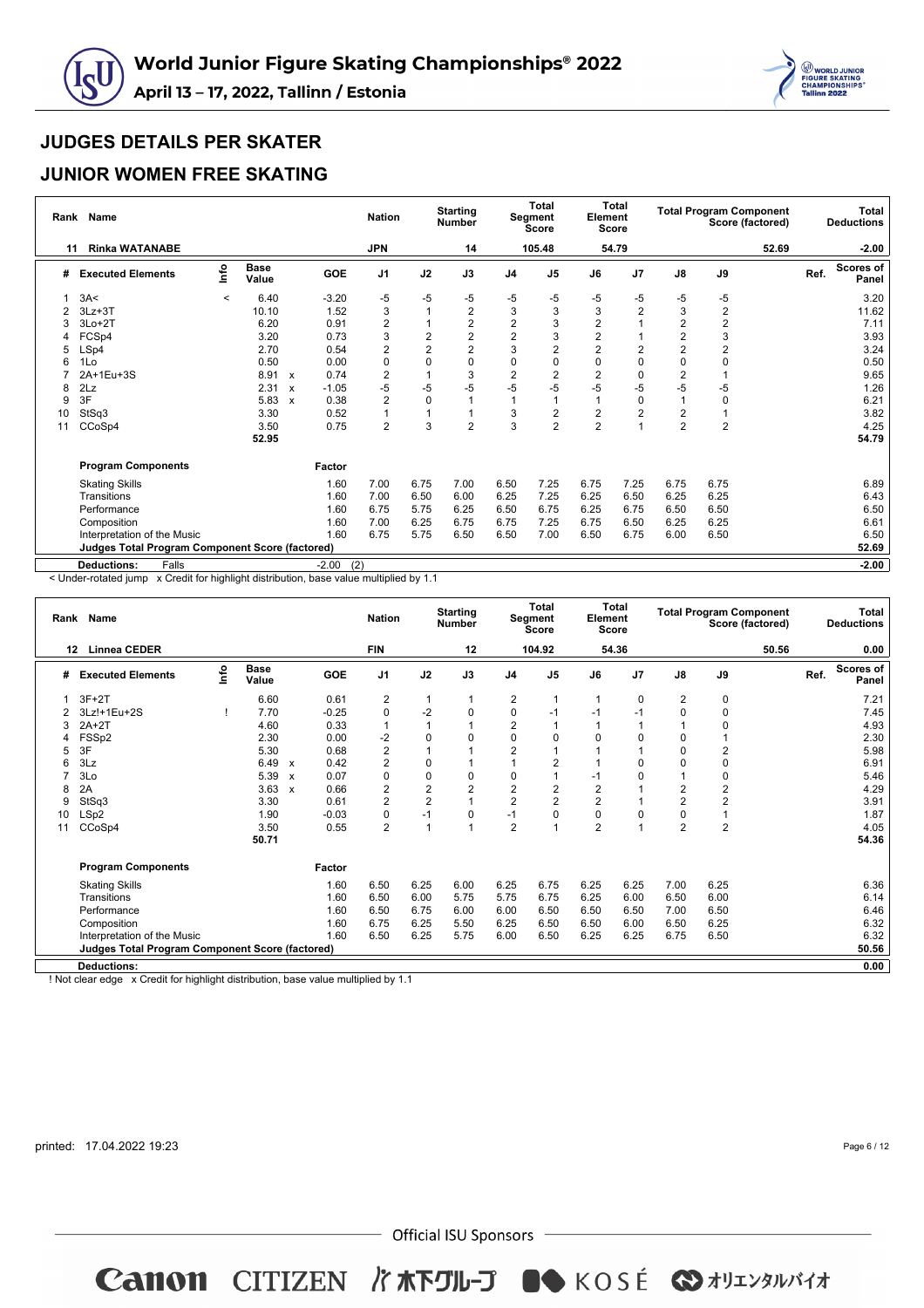



#### **JUNIOR WOMEN FREE SKATING**

| Rank           | <b>Name</b>                                            |         |                      |                           |            | <b>Nation</b>  |                | <b>Starting</b><br><b>Number</b> |                | <b>Total</b><br>Segment<br>Score | Element        | <b>Total</b><br><b>Score</b> |                |                | <b>Total Program Component</b><br>Score (factored) |      | Total<br><b>Deductions</b> |
|----------------|--------------------------------------------------------|---------|----------------------|---------------------------|------------|----------------|----------------|----------------------------------|----------------|----------------------------------|----------------|------------------------------|----------------|----------------|----------------------------------------------------|------|----------------------------|
| 11             | <b>Rinka WATANABE</b>                                  |         |                      |                           |            | <b>JPN</b>     |                | 14                               |                | 105.48                           |                | 54.79                        |                |                | 52.69                                              |      | $-2.00$                    |
| #              | <b>Executed Elements</b>                               | lnfo    | <b>Base</b><br>Value |                           | <b>GOE</b> | J <sub>1</sub> | J2             | J3                               | J <sub>4</sub> | J <sub>5</sub>                   | J6             | J7                           | $\mathsf{J}8$  | J9             |                                                    | Ref. | <b>Scores of</b><br>Panel  |
|                | 3A<                                                    | $\,<\,$ | 6.40                 |                           | $-3.20$    | $-5$           | $-5$           | -5                               | -5             | -5                               | -5             | -5                           | -5             | $-5$           |                                                    |      | 3.20                       |
| $\overline{2}$ | $3Lz + 3T$                                             |         | 10.10                |                           | 1.52       | 3              | $\mathbf{1}$   | 2                                | 3              | 3                                | 3              | $\overline{2}$               | $\mathsf 3$    | $\overline{2}$ |                                                    |      | 11.62                      |
|                | $3Lo+2T$                                               |         | 6.20                 |                           | 0.91       | $\overline{2}$ | 1              | $\overline{2}$                   | $\overline{c}$ | 3                                | $\overline{2}$ |                              | $\overline{2}$ | $\overline{2}$ |                                                    |      | 7.11                       |
|                | FCSp4                                                  |         | 3.20                 |                           | 0.73       | 3              | $\overline{2}$ | $\overline{c}$                   | $\overline{c}$ | 3                                | $\overline{2}$ |                              | $\overline{2}$ | 3              |                                                    |      | 3.93                       |
| 5              | LSp4                                                   |         | 2.70                 |                           | 0.54       | 2              | $\overline{2}$ | $\overline{2}$                   | 3              | $\overline{2}$                   | $\overline{2}$ | $\overline{2}$               | $\overline{2}$ | $\overline{2}$ |                                                    |      | 3.24                       |
|                | 1Lo                                                    |         | 0.50                 |                           | 0.00       | $\mathbf 0$    | $\mathbf 0$    | 0                                | $\Omega$       | 0                                | 0              | 0                            | 0              | $\mathbf 0$    |                                                    |      | 0.50                       |
|                | 2A+1Eu+3S                                              |         | 8.91                 | $\boldsymbol{\mathsf{x}}$ | 0.74       | 2              | $\overline{1}$ | 3                                | $\overline{2}$ | $\overline{2}$                   | 2              | 0                            | $\overline{2}$ |                |                                                    |      | 9.65                       |
| 8              | 2Lz                                                    |         | 2.31                 | $\boldsymbol{\mathsf{x}}$ | $-1.05$    | $-5$           | $-5$           | $-5$                             | -5             | -5                               | -5             | $-5$                         | $-5$           | -5             |                                                    |      | 1.26                       |
| 9              | 3F                                                     |         | 5.83                 | $\boldsymbol{\mathsf{x}}$ | 0.38       | 2              | $\mathbf 0$    |                                  |                |                                  |                | 0                            |                | 0              |                                                    |      | 6.21                       |
| 10             | StSq3                                                  |         | 3.30                 |                           | 0.52       | $\overline{1}$ | $\mathbf{1}$   |                                  | 3              | $\overline{2}$                   | $\overline{2}$ | $\overline{2}$               | $\overline{2}$ |                |                                                    |      | 3.82                       |
| 11             | CCoSp4                                                 |         | 3.50                 |                           | 0.75       | $\overline{2}$ | 3              | $\overline{2}$                   | 3              | $\overline{2}$                   | $\overline{2}$ | 1                            | $\overline{2}$ | $\overline{2}$ |                                                    |      | 4.25                       |
|                |                                                        |         | 52.95                |                           |            |                |                |                                  |                |                                  |                |                              |                |                |                                                    |      | 54.79                      |
|                | <b>Program Components</b>                              |         |                      |                           | Factor     |                |                |                                  |                |                                  |                |                              |                |                |                                                    |      |                            |
|                | <b>Skating Skills</b>                                  |         |                      |                           | 1.60       | 7.00           | 6.75           | 7.00                             | 6.50           | 7.25                             | 6.75           | 7.25                         | 6.75           | 6.75           |                                                    |      | 6.89                       |
|                | Transitions                                            |         |                      |                           | 1.60       | 7.00           | 6.50           | 6.00                             | 6.25           | 7.25                             | 6.25           | 6.50                         | 6.25           | 6.25           |                                                    |      | 6.43                       |
|                | Performance                                            |         |                      |                           | 1.60       | 6.75           | 5.75           | 6.25                             | 6.50           | 6.75                             | 6.25           | 6.75                         | 6.50           | 6.50           |                                                    |      | 6.50                       |
|                | Composition                                            |         |                      |                           | 1.60       | 7.00           | 6.25           | 6.75                             | 6.75           | 7.25                             | 6.75           | 6.50                         | 6.25           | 6.25           |                                                    |      | 6.61                       |
|                | Interpretation of the Music                            |         |                      |                           | 1.60       | 6.75           | 5.75           | 6.50                             | 6.50           | 7.00                             | 6.50           | 6.75                         | 6.00           | 6.50           |                                                    |      | 6.50                       |
|                | <b>Judges Total Program Component Score (factored)</b> |         |                      |                           |            |                |                |                                  |                |                                  |                |                              |                |                |                                                    |      | 52.69                      |
|                | Falls<br><b>Deductions:</b>                            |         |                      |                           | $-2.00$    | (2)            |                |                                  |                |                                  |                |                              |                |                |                                                    |      | $-2.00$                    |

< Under-rotated jump x Credit for highlight distribution, base value multiplied by 1.1

| Rank | <b>Name</b>                                            |    |                      |                           |         | <b>Nation</b>  |                | <b>Starting</b><br><b>Number</b> |                | <b>Total</b><br>Segment<br><b>Score</b> | Element<br><b>Score</b> | <b>Total</b>   |                | <b>Total Program Component</b> | Score (factored) |      | Total<br><b>Deductions</b> |
|------|--------------------------------------------------------|----|----------------------|---------------------------|---------|----------------|----------------|----------------------------------|----------------|-----------------------------------------|-------------------------|----------------|----------------|--------------------------------|------------------|------|----------------------------|
|      | <b>Linnea CEDER</b><br>12                              |    |                      |                           |         | <b>FIN</b>     |                | 12                               |                | 104.92                                  |                         | 54.36          |                |                                | 50.56            |      | 0.00                       |
| #    | <b>Executed Elements</b>                               | ۴o | <b>Base</b><br>Value |                           | GOE     | J <sub>1</sub> | J2             | J3                               | J <sub>4</sub> | J <sub>5</sub>                          | J6                      | J7             | $\mathsf{J}8$  | J9                             |                  | Ref. | <b>Scores of</b><br>Panel  |
| 1    | $3F+2T$                                                |    | 6.60                 |                           | 0.61    | 2              | $\mathbf{1}$   |                                  | 2              |                                         | 1                       | $\mathbf 0$    | $\overline{2}$ | 0                              |                  |      | 7.21                       |
|      | 3Lz!+1Eu+2S                                            |    | 7.70                 |                           | $-0.25$ | 0              | $-2$           | 0                                | 0              | $-1$                                    | $-1$                    | $-1$           | $\mathbf 0$    | 0                              |                  |      | 7.45                       |
| 3    | $2A+2T$                                                |    | 4.60                 |                           | 0.33    | $\mathbf{1}$   | $\overline{1}$ |                                  | $\overline{2}$ |                                         |                         | 1              |                | 0                              |                  |      | 4.93                       |
| 4    | FSSp2                                                  |    | 2.30                 |                           | 0.00    | $-2$           | $\Omega$       | $\Omega$                         | $\Omega$       | $\Omega$                                | $\Omega$                | $\Omega$       | 0              | 1                              |                  |      | 2.30                       |
| 5    | 3F                                                     |    | 5.30                 |                           | 0.68    | $\overline{c}$ |                |                                  | $\overline{2}$ |                                         |                         |                | 0              | $\overline{2}$                 |                  |      | 5.98                       |
| 6    | 3Lz                                                    |    | 6.49                 | $\boldsymbol{\mathsf{x}}$ | 0.42    | $\overline{2}$ | $\mathbf 0$    |                                  | $\overline{A}$ | $\overline{2}$                          |                         | $\Omega$       | $\mathbf 0$    | $\pmb{0}$                      |                  |      | 6.91                       |
|      | 3Lo                                                    |    | 5.39                 | $\mathsf{x}$              | 0.07    | 0              | $\mathbf 0$    | 0                                | 0              |                                         | $-1$                    | 0              |                | 0                              |                  |      | 5.46                       |
| 8    | 2A                                                     |    | 3.63                 | $\boldsymbol{\mathsf{x}}$ | 0.66    | $\overline{2}$ | $\overline{2}$ | $\overline{2}$                   | $\overline{2}$ | 2                                       | $\overline{2}$          | 1              | $\overline{2}$ | $\overline{2}$                 |                  |      | 4.29                       |
| 9    | StSq3                                                  |    | 3.30                 |                           | 0.61    | $\overline{2}$ | $\overline{2}$ |                                  | $\overline{2}$ | $\overline{2}$                          | $\overline{2}$          | 1              | $\overline{2}$ | $\overline{2}$                 |                  |      | 3.91                       |
| 10   | LSp2                                                   |    | 1.90                 |                           | $-0.03$ | 0              | $-1$           | $\Omega$                         | $-1$           | $\Omega$                                | $\Omega$                | $\Omega$       | 0              | 1                              |                  |      | 1.87                       |
| 11   | CCoSp4                                                 |    | 3.50                 |                           | 0.55    | $\overline{2}$ | $\overline{1}$ |                                  | $\overline{2}$ |                                         | $\overline{2}$          | $\overline{ }$ | $\overline{2}$ | $\overline{2}$                 |                  |      | 4.05                       |
|      |                                                        |    | 50.71                |                           |         |                |                |                                  |                |                                         |                         |                |                |                                |                  |      | 54.36                      |
|      | <b>Program Components</b>                              |    |                      |                           | Factor  |                |                |                                  |                |                                         |                         |                |                |                                |                  |      |                            |
|      | <b>Skating Skills</b>                                  |    |                      |                           | 1.60    | 6.50           | 6.25           | 6.00                             | 6.25           | 6.75                                    | 6.25                    | 6.25           | 7.00           | 6.25                           |                  |      | 6.36                       |
|      | Transitions                                            |    |                      |                           | 1.60    | 6.50           | 6.00           | 5.75                             | 5.75           | 6.75                                    | 6.25                    | 6.00           | 6.50           | 6.00                           |                  |      | 6.14                       |
|      | Performance                                            |    |                      |                           | 1.60    | 6.50           | 6.75           | 6.00                             | 6.00           | 6.50                                    | 6.50                    | 6.50           | 7.00           | 6.50                           |                  |      | 6.46                       |
|      | Composition                                            |    |                      |                           | 1.60    | 6.75           | 6.25           | 5.50                             | 6.25           | 6.50                                    | 6.50                    | 6.00           | 6.50           | 6.25                           |                  |      | 6.32                       |
|      | Interpretation of the Music                            |    |                      |                           | 1.60    | 6.50           | 6.25           | 5.75                             | 6.00           | 6.50                                    | 6.25                    | 6.25           | 6.75           | 6.50                           |                  |      | 6.32                       |
|      | <b>Judges Total Program Component Score (factored)</b> |    |                      |                           |         |                |                |                                  |                |                                         |                         |                |                |                                |                  |      | 50.56                      |
|      | <b>Deductions:</b>                                     |    |                      |                           |         |                |                |                                  |                |                                         |                         |                |                |                                |                  |      | 0.00                       |

! Not clear edge x Credit for highlight distribution, base value multiplied by 1.1

printed: 17.04.2022 19:23

Page 6 / 12

 $-$  Official ISU Sponsors  $-$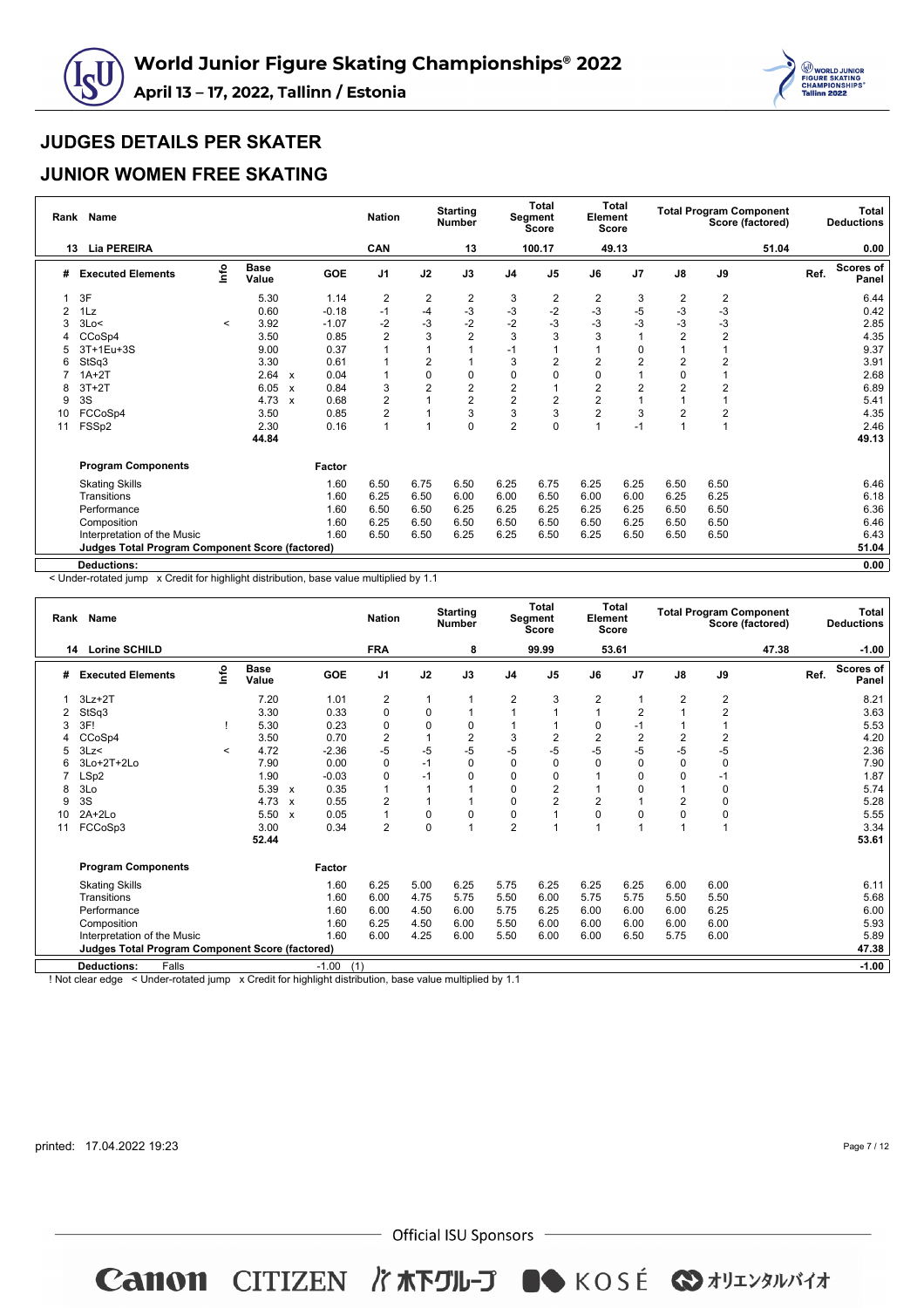



#### **JUNIOR WOMEN FREE SKATING**

| Rank | Name                                                   |         |                      |                           |            | <b>Nation</b>  |                | <b>Starting</b><br><b>Number</b> |                | <b>Total</b><br>Segment<br>Score | Element<br><b>Score</b> | Total          |                |                         | <b>Total Program Component</b><br>Score (factored) |      | Total<br><b>Deductions</b> |
|------|--------------------------------------------------------|---------|----------------------|---------------------------|------------|----------------|----------------|----------------------------------|----------------|----------------------------------|-------------------------|----------------|----------------|-------------------------|----------------------------------------------------|------|----------------------------|
| 13   | <b>Lia PEREIRA</b>                                     |         |                      |                           |            | CAN            |                | 13                               |                | 100.17                           |                         | 49.13          |                |                         | 51.04                                              |      | 0.00                       |
| #    | <b>Executed Elements</b>                               | lnfo    | <b>Base</b><br>Value |                           | <b>GOE</b> | J <sub>1</sub> | J2             | J3                               | J <sub>4</sub> | J <sub>5</sub>                   | J6                      | J <sub>7</sub> | $\mathsf{J}8$  | J9                      |                                                    | Ref. | <b>Scores of</b><br>Panel  |
|      | 3F                                                     |         | 5.30                 |                           | 1.14       | $\overline{2}$ | $\overline{c}$ | 2                                | 3              | 2                                | 2                       | 3              |                | $\overline{\mathbf{c}}$ |                                                    |      | 6.44                       |
|      | 1Lz                                                    |         | 0.60                 |                           | $-0.18$    | $-1$           | $-4$           | $-3$                             | -3             | $-2$                             | $-3$                    | $-5$           | $rac{2}{3}$    | $-3$                    |                                                    |      | 0.42                       |
|      | 3Lo<                                                   | $\prec$ | 3.92                 |                           | $-1.07$    | $-2$           | $-3$           | $-2$                             | $-2$           | $-3$                             | $-3$                    | $-3$           | $-3$           | $-3$                    |                                                    |      | 2.85                       |
|      | CCoSp4                                                 |         | 3.50                 |                           | 0.85       | $\overline{2}$ | 3              | $\overline{2}$                   | 3              | 3                                | 3                       |                | $\overline{2}$ | $\overline{2}$          |                                                    |      | 4.35                       |
|      | 3T+1Eu+3S                                              |         | 9.00                 |                           | 0.37       |                |                |                                  | $-1$           |                                  |                         | $\mathbf 0$    |                |                         |                                                    |      | 9.37                       |
| 6    | StSq3                                                  |         | 3.30                 |                           | 0.61       |                | $\overline{2}$ |                                  | 3              | 2                                | $\overline{2}$          | $\overline{2}$ | $\overline{2}$ | $\overline{2}$          |                                                    |      | 3.91                       |
|      | $1A+2T$                                                |         | 2.64 x               |                           | 0.04       |                | $\mathbf 0$    | 0                                | 0              | 0                                | 0                       | 1              | 0              |                         |                                                    |      | 2.68                       |
| 8    | $3T+2T$                                                |         | 6.05                 | $\boldsymbol{\mathsf{x}}$ | 0.84       | 3              | $\overline{2}$ | 2                                | $\overline{2}$ |                                  | $\overline{2}$          | $\overline{2}$ | $\overline{2}$ | $\overline{2}$          |                                                    |      | 6.89                       |
| 9    | 3S                                                     |         | 4.73                 | $\boldsymbol{\mathsf{x}}$ | 0.68       | $\overline{2}$ |                | 2                                | $\overline{2}$ | $\overline{2}$                   | $\overline{2}$          |                |                |                         |                                                    |      | 5.41                       |
| 10   | FCCoSp4                                                |         | 3.50                 |                           | 0.85       | 2              |                | 3                                | 3              | 3                                | $\overline{2}$          | 3              | 2              | $\overline{2}$          |                                                    |      | 4.35                       |
| 11   | FSSp2                                                  |         | 2.30                 |                           | 0.16       |                |                | 0                                | $\overline{2}$ | 0                                | 1                       | $-1$           |                | 1                       |                                                    |      | 2.46                       |
|      |                                                        |         | 44.84                |                           |            |                |                |                                  |                |                                  |                         |                |                |                         |                                                    |      | 49.13                      |
|      | <b>Program Components</b>                              |         |                      |                           | Factor     |                |                |                                  |                |                                  |                         |                |                |                         |                                                    |      |                            |
|      | <b>Skating Skills</b>                                  |         |                      |                           | 1.60       | 6.50           | 6.75           | 6.50                             | 6.25           | 6.75                             | 6.25                    | 6.25           | 6.50           | 6.50                    |                                                    |      | 6.46                       |
|      | Transitions                                            |         |                      |                           | 1.60       | 6.25           | 6.50           | 6.00                             | 6.00           | 6.50                             | 6.00                    | 6.00           | 6.25           | 6.25                    |                                                    |      | 6.18                       |
|      | Performance                                            |         |                      |                           | 1.60       | 6.50           | 6.50           | 6.25                             | 6.25           | 6.25                             | 6.25                    | 6.25           | 6.50           | 6.50                    |                                                    |      | 6.36                       |
|      | Composition                                            |         |                      |                           | 1.60       | 6.25           | 6.50           | 6.50                             | 6.50           | 6.50                             | 6.50                    | 6.25           | 6.50           | 6.50                    |                                                    |      | 6.46                       |
|      | Interpretation of the Music                            |         |                      |                           | 1.60       | 6.50           | 6.50           | 6.25                             | 6.25           | 6.50                             | 6.25                    | 6.50           | 6.50           | 6.50                    |                                                    |      | 6.43                       |
|      | <b>Judges Total Program Component Score (factored)</b> |         |                      |                           |            |                |                |                                  |                |                                  |                         |                |                |                         |                                                    |      | 51.04                      |
|      | <b>Deductions:</b>                                     |         |                      |                           |            |                |                |                                  |                |                                  |                         |                |                |                         |                                                    |      | 0.00                       |

< Under-rotated jump x Credit for highlight distribution, base value multiplied by 1.1

| Rank | <b>Name</b>                                            |         |                      |                           |                | <b>Nation</b>  |                | <b>Starting</b><br><b>Number</b> |                | <b>Total</b><br>Segment<br><b>Score</b> | Element<br><b>Score</b> | <b>Total</b>   |                | <b>Total Program Component</b> | Score (factored) |      | <b>Total</b><br><b>Deductions</b> |
|------|--------------------------------------------------------|---------|----------------------|---------------------------|----------------|----------------|----------------|----------------------------------|----------------|-----------------------------------------|-------------------------|----------------|----------------|--------------------------------|------------------|------|-----------------------------------|
|      | <b>Lorine SCHILD</b><br>14                             |         |                      |                           |                | <b>FRA</b>     |                | 8                                |                | 99.99                                   |                         | 53.61          |                |                                | 47.38            |      | $-1.00$                           |
| #    | <b>Executed Elements</b>                               | ۴o      | <b>Base</b><br>Value |                           | GOE            | J <sub>1</sub> | J2             | J3                               | J <sub>4</sub> | J <sub>5</sub>                          | J6                      | J7             | $\mathsf{J}8$  | J9                             |                  | Ref. | <b>Scores of</b><br>Panel         |
| 1    | $3Lz + 2T$                                             |         | 7.20                 |                           | 1.01           | $\overline{2}$ | $\mathbf 1$    |                                  | $\overline{2}$ | 3                                       | $\overline{2}$          | 1              | $\overline{2}$ | $\overline{2}$                 |                  |      | 8.21                              |
| 2    | StSq3                                                  |         | 3.30                 |                           | 0.33           | $\mathbf 0$    | $\mathbf 0$    |                                  |                |                                         |                         | $\overline{2}$ |                | $\overline{2}$                 |                  |      | 3.63                              |
| 3    | 3F!                                                    |         | 5.30                 |                           | 0.23           | 0              | $\mathbf 0$    | $\mathbf 0$                      |                |                                         | 0                       | $-1$           |                | $\overline{1}$                 |                  |      | 5.53                              |
|      | CCoSp4                                                 |         | 3.50                 |                           | 0.70           | $\overline{c}$ | $\overline{1}$ | $\overline{2}$                   | 3              |                                         | $\overline{2}$          | $\overline{2}$ | $\overline{2}$ | $\overline{2}$                 |                  |      | 4.20                              |
| 5    | 3Lz<                                                   | $\,<\,$ | 4.72                 |                           | $-2.36$        | $-5$           | $-5$           | $-5$                             | -5             | $-5$                                    | $-5$                    | -5             | -5             | $-5$                           |                  |      | 2.36                              |
| 6    | 3Lo+2T+2Lo                                             |         | 7.90                 |                           | 0.00           | 0              | $-1$           | $\Omega$                         | $\Omega$       | $\Omega$                                | $\Omega$                | $\Omega$       | $\Omega$       | $\mathbf 0$                    |                  |      | 7.90                              |
|      | LSp2                                                   |         | 1.90                 |                           | $-0.03$        | 0              | $-1$           | $\Omega$                         | 0              | 0                                       |                         | 0              | 0              | $-1$                           |                  |      | 1.87                              |
| 8    | 3Lo                                                    |         | 5.39                 | $\boldsymbol{\mathsf{x}}$ | 0.35           | 1              |                |                                  | $\mathbf 0$    | $\overline{2}$                          |                         | 0              |                | $\mathbf 0$                    |                  |      | 5.74                              |
| 9    | 3S                                                     |         | 4.73                 | $\boldsymbol{\mathsf{x}}$ | 0.55           | 2              |                |                                  | $\mathbf 0$    | 2                                       | $\overline{2}$          |                | $\overline{2}$ | 0                              |                  |      | 5.28                              |
| 10   | $2A+2Lo$                                               |         | 5.50                 | $\boldsymbol{\mathsf{x}}$ | 0.05           | 1              | $\mathbf 0$    | 0                                | 0              |                                         | $\Omega$                | $\Omega$       | 0              | 0                              |                  |      | 5.55                              |
| 11   | FCCoSp3                                                |         | 3.00                 |                           | 0.34           | 2              | $\pmb{0}$      |                                  | $\overline{2}$ |                                         |                         | 1              |                | $\overline{1}$                 |                  |      | 3.34                              |
|      |                                                        |         | 52.44                |                           |                |                |                |                                  |                |                                         |                         |                |                |                                |                  |      | 53.61                             |
|      | <b>Program Components</b>                              |         |                      |                           | Factor         |                |                |                                  |                |                                         |                         |                |                |                                |                  |      |                                   |
|      | <b>Skating Skills</b>                                  |         |                      |                           | 1.60           | 6.25           | 5.00           | 6.25                             | 5.75           | 6.25                                    | 6.25                    | 6.25           | 6.00           | 6.00                           |                  |      | 6.11                              |
|      | Transitions                                            |         |                      |                           | 1.60           | 6.00           | 4.75           | 5.75                             | 5.50           | 6.00                                    | 5.75                    | 5.75           | 5.50           | 5.50                           |                  |      | 5.68                              |
|      | Performance                                            |         |                      |                           | 1.60           | 6.00           | 4.50           | 6.00                             | 5.75           | 6.25                                    | 6.00                    | 6.00           | 6.00           | 6.25                           |                  |      | 6.00                              |
|      | Composition                                            |         |                      |                           | 1.60           | 6.25           | 4.50           | 6.00                             | 5.50           | 6.00                                    | 6.00                    | 6.00           | 6.00           | 6.00                           |                  |      | 5.93                              |
|      | Interpretation of the Music                            |         |                      |                           | 1.60           | 6.00           | 4.25           | 6.00                             | 5.50           | 6.00                                    | 6.00                    | 6.50           | 5.75           | 6.00                           |                  |      | 5.89                              |
|      | <b>Judges Total Program Component Score (factored)</b> |         |                      |                           |                |                |                |                                  |                |                                         |                         |                |                |                                |                  |      | 47.38                             |
|      | <b>Deductions:</b><br>Falls                            |         |                      |                           | (1)<br>$-1.00$ |                |                |                                  |                |                                         |                         |                |                |                                |                  |      | $-1.00$                           |

! Not clear edge < Under-rotated jump x Credit for highlight distribution, base value multiplied by 1.1

printed: 17.04.2022 19:23

Page 7 / 12

 $-$  Official ISU Sponsors  $-$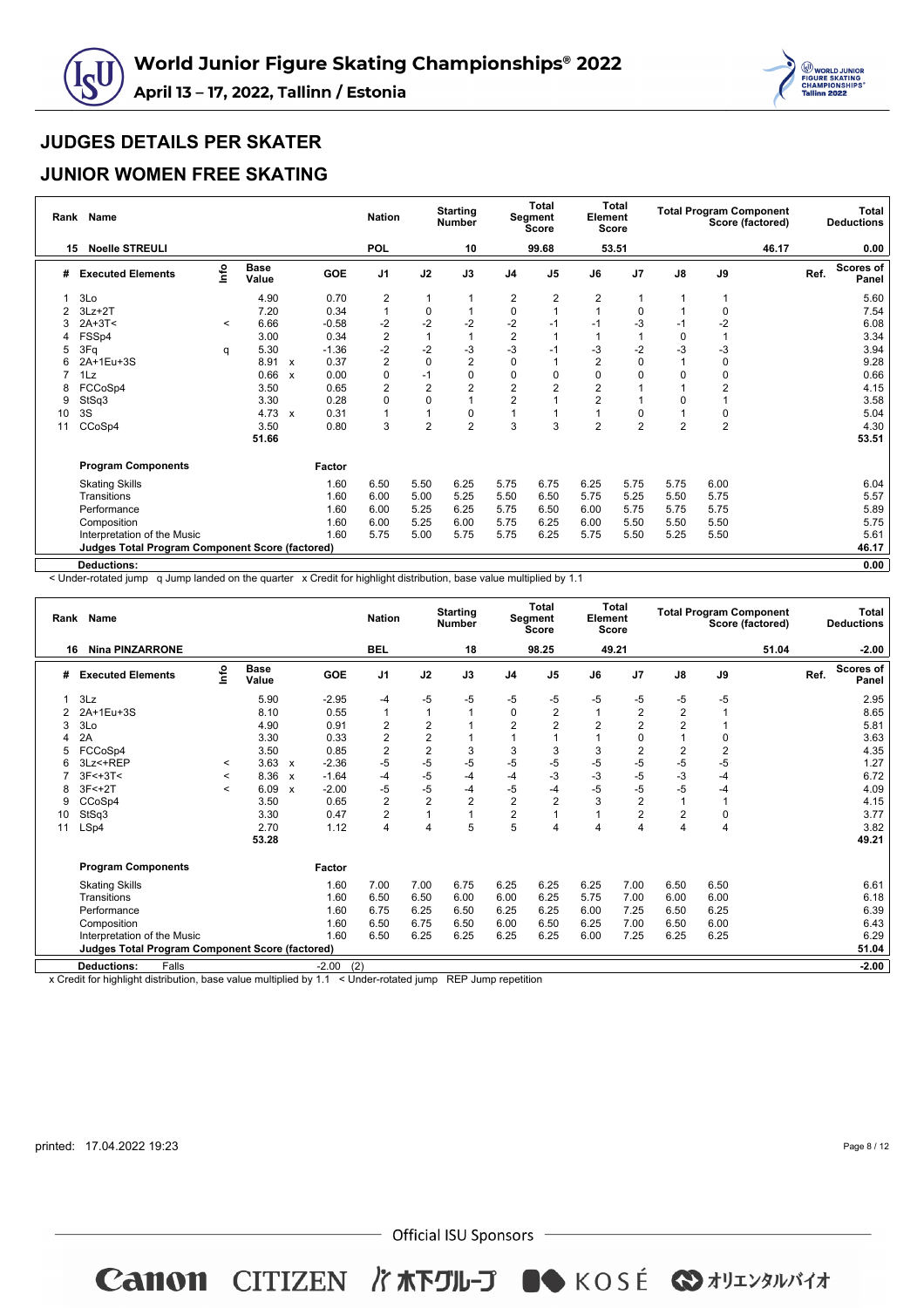



#### **JUNIOR WOMEN FREE SKATING**

| Rank | <b>Name</b>                                            |         |                      |                           |            | <b>Nation</b>    |                | <b>Starting</b><br><b>Number</b> |                | Total<br>Segment<br><b>Score</b> | Element<br><b>Score</b> | <b>Total</b>   |                |                | <b>Total Program Component</b><br>Score (factored) |      | Total<br><b>Deductions</b> |
|------|--------------------------------------------------------|---------|----------------------|---------------------------|------------|------------------|----------------|----------------------------------|----------------|----------------------------------|-------------------------|----------------|----------------|----------------|----------------------------------------------------|------|----------------------------|
| 15   | <b>Noelle STREULI</b>                                  |         |                      |                           |            | <b>POL</b>       |                | 10                               |                | 99.68                            |                         | 53.51          |                |                | 46.17                                              |      | 0.00                       |
| #    | <b>Executed Elements</b>                               | lnfo    | <b>Base</b><br>Value |                           | <b>GOE</b> | J <sub>1</sub>   | J2             | J3                               | J <sub>4</sub> | J <sub>5</sub>                   | J6                      | J <sub>7</sub> | J8             | J9             |                                                    | Ref. | <b>Scores of</b><br>Panel  |
|      | 3Lo                                                    |         | 4.90                 |                           | 0.70       | 2                |                |                                  | 2              | 2                                | $\overline{2}$          |                | $\mathbf{1}$   |                |                                                    |      | 5.60                       |
| 2    | $3Lz + 2T$                                             |         | 7.20                 |                           | 0.34       | $\overline{1}$   | 0              |                                  | 0              |                                  |                         | $\mathbf 0$    | 1              | 0              |                                                    |      | 7.54                       |
| 3    | $2A+3T<$                                               | $\prec$ | 6.66                 |                           | $-0.58$    | $-2$             | $-2$           | $-2$                             | $-2$           | $-1$                             | $-1$                    | $-3$           | $-1$           | $-2$           |                                                    |      | 6.08                       |
|      | FSSp4                                                  |         | 3.00                 |                           | 0.34       | $\boldsymbol{2}$ |                |                                  | $\overline{c}$ |                                  |                         |                | $\mathbf 0$    |                |                                                    |      | 3.34                       |
| 5    | 3Fq                                                    | q       | 5.30                 |                           | $-1.36$    | $-2$             | $-2$           | $-3$                             | -3             | -1                               | -3                      | $-2$           | $-3$           | -3             |                                                    |      | 3.94                       |
|      | 2A+1Eu+3S                                              |         | 8.91                 | $\boldsymbol{\mathsf{x}}$ | 0.37       | $\overline{2}$   | $\mathbf 0$    | $\overline{2}$                   | $\Omega$       |                                  | 2                       | 0              |                | 0              |                                                    |      | 9.28                       |
|      | 1Lz                                                    |         | 0.66                 | $\boldsymbol{x}$          | 0.00       | 0                | $-1$           | 0                                | 0              | $\Omega$                         | $\Omega$                | 0              | 0              | $\pmb{0}$      |                                                    |      | 0.66                       |
|      | FCCoSp4                                                |         | 3.50                 |                           | 0.65       | $\overline{2}$   | $\overline{2}$ | $\overline{2}$                   | $\overline{2}$ | 2                                | $\overline{2}$          |                |                | $\overline{2}$ |                                                    |      | 4.15                       |
| 9    | StSq3                                                  |         | 3.30                 |                           | 0.28       | 0                | $\mathbf 0$    | $\mathbf{1}$                     | $\overline{2}$ |                                  | $\overline{2}$          |                | 0              |                |                                                    |      | 3.58                       |
| 10   | 3S                                                     |         | 4.73                 | $\boldsymbol{x}$          | 0.31       | $\overline{1}$   |                | 0                                |                |                                  |                         | 0              | 1              | $\pmb{0}$      |                                                    |      | 5.04                       |
| 11   | CCoSp4                                                 |         | 3.50                 |                           | 0.80       | 3                | $\overline{2}$ | $\overline{2}$                   | 3              | 3                                | $\overline{2}$          | 2              | $\overline{2}$ | $\overline{2}$ |                                                    |      | 4.30                       |
|      |                                                        |         | 51.66                |                           |            |                  |                |                                  |                |                                  |                         |                |                |                |                                                    |      | 53.51                      |
|      | <b>Program Components</b>                              |         |                      |                           | Factor     |                  |                |                                  |                |                                  |                         |                |                |                |                                                    |      |                            |
|      | <b>Skating Skills</b>                                  |         |                      |                           | 1.60       | 6.50             | 5.50           | 6.25                             | 5.75           | 6.75                             | 6.25                    | 5.75           | 5.75           | 6.00           |                                                    |      | 6.04                       |
|      | Transitions                                            |         |                      |                           | 1.60       | 6.00             | 5.00           | 5.25                             | 5.50           | 6.50                             | 5.75                    | 5.25           | 5.50           | 5.75           |                                                    |      | 5.57                       |
|      | Performance                                            |         |                      |                           | 1.60       | 6.00             | 5.25           | 6.25                             | 5.75           | 6.50                             | 6.00                    | 5.75           | 5.75           | 5.75           |                                                    |      | 5.89                       |
|      | Composition                                            |         |                      |                           | 1.60       | 6.00             | 5.25           | 6.00                             | 5.75           | 6.25                             | 6.00                    | 5.50           | 5.50           | 5.50           |                                                    |      | 5.75                       |
|      | Interpretation of the Music                            |         |                      |                           | 1.60       | 5.75             | 5.00           | 5.75                             | 5.75           | 6.25                             | 5.75                    | 5.50           | 5.25           | 5.50           |                                                    |      | 5.61                       |
|      | <b>Judges Total Program Component Score (factored)</b> |         |                      |                           |            |                  |                |                                  |                |                                  |                         |                |                |                |                                                    |      | 46.17                      |
|      | <b>Deductions:</b>                                     |         |                      |                           |            |                  |                |                                  |                |                                  |                         |                |                |                |                                                    |      | 0.00                       |

< Under-rotated jump q Jump landed on the quarter x Credit for highlight distribution, base value multiplied by 1.1

| <b>Nina PINZARRONE</b><br><b>BEL</b><br>18<br>98.25<br>49.21<br>51.04<br>$-2.00$<br>16<br>۴o<br><b>Base</b><br><b>Scores of</b><br>GOE<br>J <sub>1</sub><br>J2<br>J3<br>J <sub>4</sub><br>J <sub>5</sub><br>$\mathsf{J}8$<br>J9<br>Ref.<br>J6<br>J7<br><b>Executed Elements</b><br>#<br>Value<br>Panel<br>5.90<br>$-2.95$<br>$-5$<br>$-5$<br>3Lz<br>-5<br>-5<br>$-5$<br>-5<br>-5<br>-5<br>2.95<br>$-4$<br>2<br>0.55<br>$\mathbf 0$<br>2<br>2A+1Eu+3S<br>8.10<br>$\mathbf{1}$<br>2<br>8.65<br>1<br>1<br>2<br>2<br>$\overline{\mathbf{c}}$<br>2<br>$\overline{2}$<br>$\overline{2}$<br>2<br>3Lo<br>4.90<br>0.91<br>5.81<br>3<br>$\overline{2}$<br>2<br>2A<br>3.30<br>0.33<br>1<br>3.63<br>1<br>$\Omega$<br>0<br>$\overline{2}$<br>$\overline{c}$<br>3<br>3<br>$\overline{2}$<br>$\overline{2}$<br>$\overline{2}$<br>3.50<br>0.85<br>3<br>3<br>4.35<br>FCCoSp4<br>$-5$<br>$-5$<br>$-5$<br>$-5$<br>$-5$<br>$-5$<br>-5<br>$-5$<br>$-5$<br>$-2.36$<br>1.27<br>3Lz<+REP<br>3.63<br>6<br>$\mathbf{x}$<br>$\prec$<br>$-3$<br>$-5$<br>$-3$<br>$-3$<br>$-5$<br>8.36<br>$-1.64$<br>$-4$<br>$-4$<br>$3F<+3T<$<br>$-4$<br>$-4$<br>6.72<br>$\mathbf{x}$<br>$\prec$<br>$-5$<br>$-5$<br>$-5$<br>-5<br>$-5$<br>$-5$<br>$3F < +2T$<br>6.09<br>$-2.00$<br>$-4$<br>$-4$<br>4.09<br>$-4$<br>8<br>$\boldsymbol{\mathsf{x}}$<br>$\overline{\phantom{a}}$<br>$\overline{2}$<br>$\overline{2}$<br>$\overline{2}$<br>$\overline{2}$<br>$\overline{2}$<br>3<br>$\overline{2}$<br>3.50<br>0.65<br>$\mathbf{1}$<br>4.15<br>CCoSp4<br>9<br>$\overline{2}$<br>$\overline{2}$<br>$\overline{2}$<br>$\overline{2}$<br>$\mathbf 0$<br>StSq3<br>3.30<br>0.47<br>$\overline{1}$<br>3.77<br>$\mathbf{1}$<br>10<br>5<br>5<br>$\overline{4}$<br>$\overline{4}$<br>LSp4<br>2.70<br>1.12<br>4<br>4<br>3.82<br>4<br>4<br>4<br>11<br>49.21<br>53.28<br><b>Program Components</b><br>Factor<br>6.25<br>6.25<br>6.25<br>7.00<br>6.50<br>6.50<br>6.61<br>1.60<br>7.00<br>7.00<br>6.75<br><b>Skating Skills</b><br>1.60<br>5.75<br>6.00<br>Transitions<br>6.50<br>6.50<br>6.25<br>7.00<br>6.00<br>6.18<br>6.00<br>6.00<br>1.60<br>6.75<br>6.25<br>6.25<br>6.25<br>6.00<br>7.25<br>6.50<br>6.39<br>Performance<br>6.50<br>6.25<br>1.60<br>6.50<br>6.25<br>7.00<br>6.50<br>6.00<br>6.43<br>6.75<br>6.50<br>6.50<br>Composition<br>6.00<br>1.60<br>6.50<br>6.25<br>6.29<br>Interpretation of the Music<br>6.25<br>6.25<br>6.25<br>6.25<br>6.00<br>7.25<br>6.25<br><b>Judges Total Program Component Score (factored)</b><br>51.04<br>(2) | Rank Name                   |  |         | <b>Nation</b> | <b>Starting</b><br><b>Number</b> | <b>Total</b><br><b>Segment</b><br><b>Score</b> | Element | Total<br><b>Score</b> |  | <b>Total Program Component</b><br>Score (factored) | Total<br><b>Deductions</b> |
|---------------------------------------------------------------------------------------------------------------------------------------------------------------------------------------------------------------------------------------------------------------------------------------------------------------------------------------------------------------------------------------------------------------------------------------------------------------------------------------------------------------------------------------------------------------------------------------------------------------------------------------------------------------------------------------------------------------------------------------------------------------------------------------------------------------------------------------------------------------------------------------------------------------------------------------------------------------------------------------------------------------------------------------------------------------------------------------------------------------------------------------------------------------------------------------------------------------------------------------------------------------------------------------------------------------------------------------------------------------------------------------------------------------------------------------------------------------------------------------------------------------------------------------------------------------------------------------------------------------------------------------------------------------------------------------------------------------------------------------------------------------------------------------------------------------------------------------------------------------------------------------------------------------------------------------------------------------------------------------------------------------------------------------------------------------------------------------------------------------------------------------------------------------------------------------------------------------------------------------------------------------------------------------------------------------------------------------------------------------------------------------------------------------------------------------------------------------------------------------|-----------------------------|--|---------|---------------|----------------------------------|------------------------------------------------|---------|-----------------------|--|----------------------------------------------------|----------------------------|
|                                                                                                                                                                                                                                                                                                                                                                                                                                                                                                                                                                                                                                                                                                                                                                                                                                                                                                                                                                                                                                                                                                                                                                                                                                                                                                                                                                                                                                                                                                                                                                                                                                                                                                                                                                                                                                                                                                                                                                                                                                                                                                                                                                                                                                                                                                                                                                                                                                                                                       |                             |  |         |               |                                  |                                                |         |                       |  |                                                    |                            |
|                                                                                                                                                                                                                                                                                                                                                                                                                                                                                                                                                                                                                                                                                                                                                                                                                                                                                                                                                                                                                                                                                                                                                                                                                                                                                                                                                                                                                                                                                                                                                                                                                                                                                                                                                                                                                                                                                                                                                                                                                                                                                                                                                                                                                                                                                                                                                                                                                                                                                       |                             |  |         |               |                                  |                                                |         |                       |  |                                                    |                            |
|                                                                                                                                                                                                                                                                                                                                                                                                                                                                                                                                                                                                                                                                                                                                                                                                                                                                                                                                                                                                                                                                                                                                                                                                                                                                                                                                                                                                                                                                                                                                                                                                                                                                                                                                                                                                                                                                                                                                                                                                                                                                                                                                                                                                                                                                                                                                                                                                                                                                                       |                             |  |         |               |                                  |                                                |         |                       |  |                                                    |                            |
|                                                                                                                                                                                                                                                                                                                                                                                                                                                                                                                                                                                                                                                                                                                                                                                                                                                                                                                                                                                                                                                                                                                                                                                                                                                                                                                                                                                                                                                                                                                                                                                                                                                                                                                                                                                                                                                                                                                                                                                                                                                                                                                                                                                                                                                                                                                                                                                                                                                                                       |                             |  |         |               |                                  |                                                |         |                       |  |                                                    |                            |
|                                                                                                                                                                                                                                                                                                                                                                                                                                                                                                                                                                                                                                                                                                                                                                                                                                                                                                                                                                                                                                                                                                                                                                                                                                                                                                                                                                                                                                                                                                                                                                                                                                                                                                                                                                                                                                                                                                                                                                                                                                                                                                                                                                                                                                                                                                                                                                                                                                                                                       |                             |  |         |               |                                  |                                                |         |                       |  |                                                    |                            |
|                                                                                                                                                                                                                                                                                                                                                                                                                                                                                                                                                                                                                                                                                                                                                                                                                                                                                                                                                                                                                                                                                                                                                                                                                                                                                                                                                                                                                                                                                                                                                                                                                                                                                                                                                                                                                                                                                                                                                                                                                                                                                                                                                                                                                                                                                                                                                                                                                                                                                       |                             |  |         |               |                                  |                                                |         |                       |  |                                                    |                            |
|                                                                                                                                                                                                                                                                                                                                                                                                                                                                                                                                                                                                                                                                                                                                                                                                                                                                                                                                                                                                                                                                                                                                                                                                                                                                                                                                                                                                                                                                                                                                                                                                                                                                                                                                                                                                                                                                                                                                                                                                                                                                                                                                                                                                                                                                                                                                                                                                                                                                                       |                             |  |         |               |                                  |                                                |         |                       |  |                                                    |                            |
|                                                                                                                                                                                                                                                                                                                                                                                                                                                                                                                                                                                                                                                                                                                                                                                                                                                                                                                                                                                                                                                                                                                                                                                                                                                                                                                                                                                                                                                                                                                                                                                                                                                                                                                                                                                                                                                                                                                                                                                                                                                                                                                                                                                                                                                                                                                                                                                                                                                                                       |                             |  |         |               |                                  |                                                |         |                       |  |                                                    |                            |
|                                                                                                                                                                                                                                                                                                                                                                                                                                                                                                                                                                                                                                                                                                                                                                                                                                                                                                                                                                                                                                                                                                                                                                                                                                                                                                                                                                                                                                                                                                                                                                                                                                                                                                                                                                                                                                                                                                                                                                                                                                                                                                                                                                                                                                                                                                                                                                                                                                                                                       |                             |  |         |               |                                  |                                                |         |                       |  |                                                    |                            |
|                                                                                                                                                                                                                                                                                                                                                                                                                                                                                                                                                                                                                                                                                                                                                                                                                                                                                                                                                                                                                                                                                                                                                                                                                                                                                                                                                                                                                                                                                                                                                                                                                                                                                                                                                                                                                                                                                                                                                                                                                                                                                                                                                                                                                                                                                                                                                                                                                                                                                       |                             |  |         |               |                                  |                                                |         |                       |  |                                                    |                            |
|                                                                                                                                                                                                                                                                                                                                                                                                                                                                                                                                                                                                                                                                                                                                                                                                                                                                                                                                                                                                                                                                                                                                                                                                                                                                                                                                                                                                                                                                                                                                                                                                                                                                                                                                                                                                                                                                                                                                                                                                                                                                                                                                                                                                                                                                                                                                                                                                                                                                                       |                             |  |         |               |                                  |                                                |         |                       |  |                                                    |                            |
|                                                                                                                                                                                                                                                                                                                                                                                                                                                                                                                                                                                                                                                                                                                                                                                                                                                                                                                                                                                                                                                                                                                                                                                                                                                                                                                                                                                                                                                                                                                                                                                                                                                                                                                                                                                                                                                                                                                                                                                                                                                                                                                                                                                                                                                                                                                                                                                                                                                                                       |                             |  |         |               |                                  |                                                |         |                       |  |                                                    |                            |
|                                                                                                                                                                                                                                                                                                                                                                                                                                                                                                                                                                                                                                                                                                                                                                                                                                                                                                                                                                                                                                                                                                                                                                                                                                                                                                                                                                                                                                                                                                                                                                                                                                                                                                                                                                                                                                                                                                                                                                                                                                                                                                                                                                                                                                                                                                                                                                                                                                                                                       |                             |  |         |               |                                  |                                                |         |                       |  |                                                    |                            |
|                                                                                                                                                                                                                                                                                                                                                                                                                                                                                                                                                                                                                                                                                                                                                                                                                                                                                                                                                                                                                                                                                                                                                                                                                                                                                                                                                                                                                                                                                                                                                                                                                                                                                                                                                                                                                                                                                                                                                                                                                                                                                                                                                                                                                                                                                                                                                                                                                                                                                       |                             |  |         |               |                                  |                                                |         |                       |  |                                                    |                            |
|                                                                                                                                                                                                                                                                                                                                                                                                                                                                                                                                                                                                                                                                                                                                                                                                                                                                                                                                                                                                                                                                                                                                                                                                                                                                                                                                                                                                                                                                                                                                                                                                                                                                                                                                                                                                                                                                                                                                                                                                                                                                                                                                                                                                                                                                                                                                                                                                                                                                                       |                             |  |         |               |                                  |                                                |         |                       |  |                                                    |                            |
|                                                                                                                                                                                                                                                                                                                                                                                                                                                                                                                                                                                                                                                                                                                                                                                                                                                                                                                                                                                                                                                                                                                                                                                                                                                                                                                                                                                                                                                                                                                                                                                                                                                                                                                                                                                                                                                                                                                                                                                                                                                                                                                                                                                                                                                                                                                                                                                                                                                                                       |                             |  |         |               |                                  |                                                |         |                       |  |                                                    |                            |
|                                                                                                                                                                                                                                                                                                                                                                                                                                                                                                                                                                                                                                                                                                                                                                                                                                                                                                                                                                                                                                                                                                                                                                                                                                                                                                                                                                                                                                                                                                                                                                                                                                                                                                                                                                                                                                                                                                                                                                                                                                                                                                                                                                                                                                                                                                                                                                                                                                                                                       |                             |  |         |               |                                  |                                                |         |                       |  |                                                    |                            |
|                                                                                                                                                                                                                                                                                                                                                                                                                                                                                                                                                                                                                                                                                                                                                                                                                                                                                                                                                                                                                                                                                                                                                                                                                                                                                                                                                                                                                                                                                                                                                                                                                                                                                                                                                                                                                                                                                                                                                                                                                                                                                                                                                                                                                                                                                                                                                                                                                                                                                       |                             |  |         |               |                                  |                                                |         |                       |  |                                                    |                            |
|                                                                                                                                                                                                                                                                                                                                                                                                                                                                                                                                                                                                                                                                                                                                                                                                                                                                                                                                                                                                                                                                                                                                                                                                                                                                                                                                                                                                                                                                                                                                                                                                                                                                                                                                                                                                                                                                                                                                                                                                                                                                                                                                                                                                                                                                                                                                                                                                                                                                                       |                             |  |         |               |                                  |                                                |         |                       |  |                                                    |                            |
|                                                                                                                                                                                                                                                                                                                                                                                                                                                                                                                                                                                                                                                                                                                                                                                                                                                                                                                                                                                                                                                                                                                                                                                                                                                                                                                                                                                                                                                                                                                                                                                                                                                                                                                                                                                                                                                                                                                                                                                                                                                                                                                                                                                                                                                                                                                                                                                                                                                                                       |                             |  |         |               |                                  |                                                |         |                       |  |                                                    |                            |
|                                                                                                                                                                                                                                                                                                                                                                                                                                                                                                                                                                                                                                                                                                                                                                                                                                                                                                                                                                                                                                                                                                                                                                                                                                                                                                                                                                                                                                                                                                                                                                                                                                                                                                                                                                                                                                                                                                                                                                                                                                                                                                                                                                                                                                                                                                                                                                                                                                                                                       |                             |  |         |               |                                  |                                                |         |                       |  |                                                    |                            |
|                                                                                                                                                                                                                                                                                                                                                                                                                                                                                                                                                                                                                                                                                                                                                                                                                                                                                                                                                                                                                                                                                                                                                                                                                                                                                                                                                                                                                                                                                                                                                                                                                                                                                                                                                                                                                                                                                                                                                                                                                                                                                                                                                                                                                                                                                                                                                                                                                                                                                       | <b>Deductions:</b><br>Falls |  | $-2.00$ |               |                                  |                                                |         |                       |  |                                                    | $-2.00$                    |

x Credit for highlight distribution, base value multiplied by 1.1 < Under-rotated jump REP Jump repetition

printed: 17.04.2022 19:23

Page 8 / 12

 $-$  Official ISU Sponsors  $-$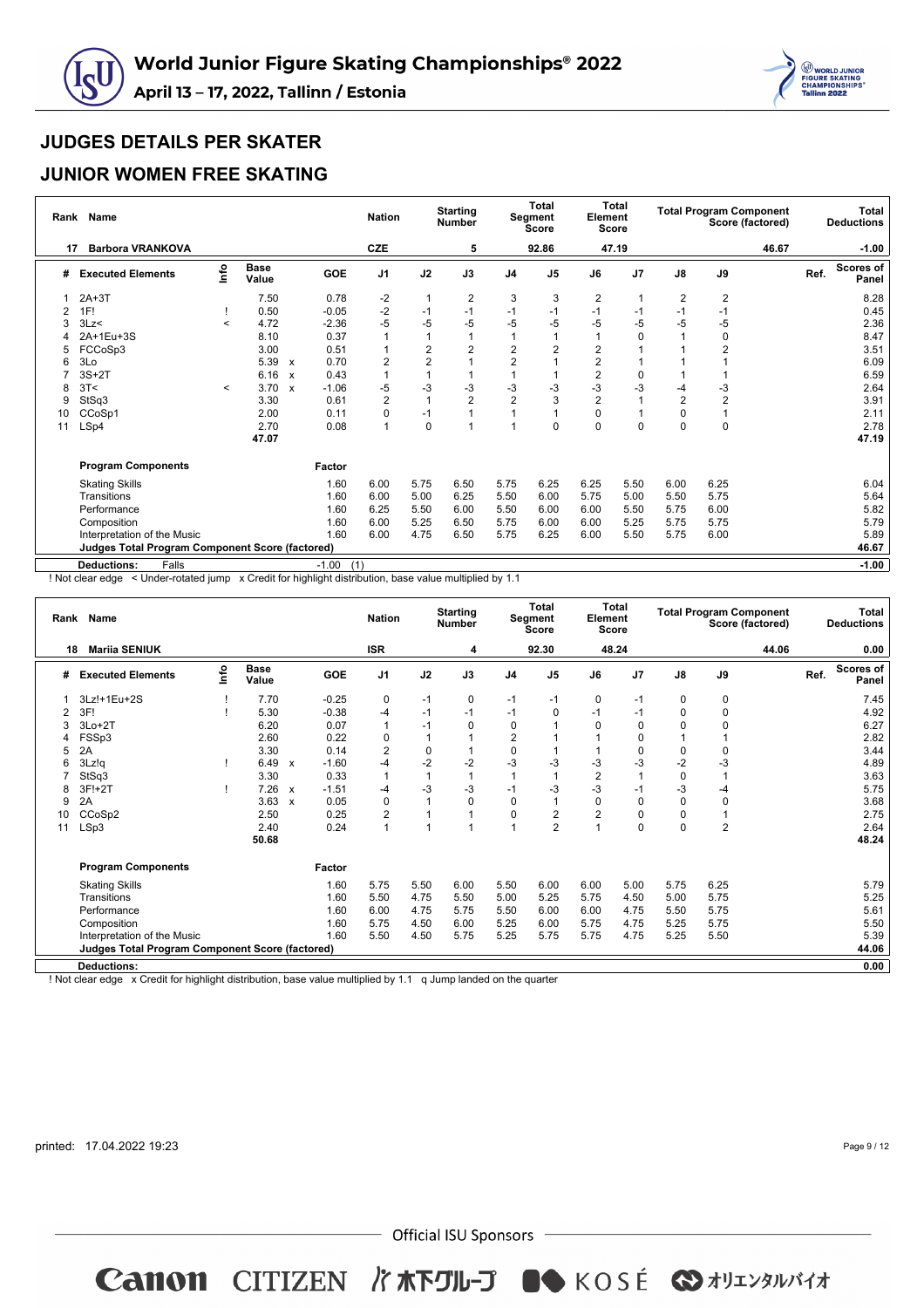



#### **JUNIOR WOMEN FREE SKATING**

| Rank | <b>Name</b>                                            |         |                      |                                   | <b>Nation</b>  |                | <b>Starting</b><br><b>Number</b> |                | Total<br>Segment<br><b>Score</b> | Element<br>Score | <b>Total</b> |                |                | <b>Total Program Component</b><br>Score (factored) |      | Total<br><b>Deductions</b> |
|------|--------------------------------------------------------|---------|----------------------|-----------------------------------|----------------|----------------|----------------------------------|----------------|----------------------------------|------------------|--------------|----------------|----------------|----------------------------------------------------|------|----------------------------|
| 17   | <b>Barbora VRANKOVA</b>                                |         |                      |                                   | <b>CZE</b>     |                | 5                                |                | 92.86                            |                  | 47.19        |                |                | 46.67                                              |      | $-1.00$                    |
| #    | <b>Executed Elements</b>                               | lnfo    | <b>Base</b><br>Value | GOE                               | J <sub>1</sub> | J2             | J3                               | J <sub>4</sub> | J <sub>5</sub>                   | J6               | J7           | J8             | J9             |                                                    | Ref. | <b>Scores of</b><br>Panel  |
|      | $2A+3T$                                                |         | 7.50                 | 0.78                              | $-2$           | $\mathbf{1}$   | 2                                | 3              | 3                                | $\overline{2}$   |              | $\overline{2}$ | $\overline{2}$ |                                                    |      | 8.28                       |
| 2    | 1F!                                                    |         | 0.50                 | $-0.05$                           | $-2$           | $-1$           | $-1$                             | -1             | $-1$                             | $-1$             | -1           | $-1$           | $-1$           |                                                    |      | 0.45                       |
| 3    | 3Lz                                                    | $\,<$   | 4.72                 | $-2.36$                           | $-5$           | $-5$           | $-5$                             | $-5$           | -5                               | -5               | -5           | $-5$           | $-5$           |                                                    |      | 2.36                       |
|      | 2A+1Eu+3S                                              |         | 8.10                 | 0.37                              |                |                |                                  |                |                                  |                  | 0            |                | 0              |                                                    |      | 8.47                       |
|      | FCCoSp3                                                |         | 3.00                 | 0.51                              |                | $\overline{2}$ | $\overline{2}$                   | $\overline{2}$ |                                  | $\overline{2}$   |              |                | $\overline{2}$ |                                                    |      | 3.51                       |
|      | 3Lo                                                    |         | 5.39                 | 0.70<br>$\boldsymbol{\mathsf{x}}$ | 2              | $\overline{2}$ |                                  | $\overline{2}$ |                                  | $\overline{2}$   |              |                |                |                                                    |      | 6.09                       |
|      | $3S+2T$                                                |         | 6.16                 | 0.43<br>$\mathbf{x}$              |                |                |                                  |                |                                  | $\overline{2}$   | $\mathbf 0$  |                |                |                                                    |      | 6.59                       |
| 8    | 3T<                                                    | $\prec$ | 3.70                 | $-1.06$<br>$\boldsymbol{x}$       | $-5$           | $-3$           | $-3$                             | -3             | $-3$                             | -3               | -3           | -4             | $-3$           |                                                    |      | 2.64                       |
| 9    | StSq3                                                  |         | 3.30                 | 0.61                              | $\overline{2}$ |                | $\overline{2}$                   | $\overline{2}$ | 3                                | $\overline{2}$   |              | $\overline{2}$ | $\overline{2}$ |                                                    |      | 3.91                       |
| 10   | CCoSp1                                                 |         | 2.00                 | 0.11                              | 0              | $-1$           |                                  |                |                                  | $\Omega$         |              | 0              |                |                                                    |      | 2.11                       |
| 11   | LSp4                                                   |         | 2.70                 | 0.08                              | 1              | $\mathbf 0$    |                                  |                | 0                                | $\Omega$         | 0            | 0              | $\pmb{0}$      |                                                    |      | 2.78                       |
|      |                                                        |         | 47.07                |                                   |                |                |                                  |                |                                  |                  |              |                |                |                                                    |      | 47.19                      |
|      | <b>Program Components</b>                              |         |                      | Factor                            |                |                |                                  |                |                                  |                  |              |                |                |                                                    |      |                            |
|      | <b>Skating Skills</b>                                  |         |                      | 1.60                              | 6.00           | 5.75           | 6.50                             | 5.75           | 6.25                             | 6.25             | 5.50         | 6.00           | 6.25           |                                                    |      | 6.04                       |
|      | Transitions                                            |         |                      | 1.60                              | 6.00           | 5.00           | 6.25                             | 5.50           | 6.00                             | 5.75             | 5.00         | 5.50           | 5.75           |                                                    |      | 5.64                       |
|      | Performance                                            |         |                      | 1.60                              | 6.25           | 5.50           | 6.00                             | 5.50           | 6.00                             | 6.00             | 5.50         | 5.75           | 6.00           |                                                    |      | 5.82                       |
|      | Composition                                            |         |                      | 1.60                              | 6.00           | 5.25           | 6.50                             | 5.75           | 6.00                             | 6.00             | 5.25         | 5.75           | 5.75           |                                                    |      | 5.79                       |
|      | Interpretation of the Music                            |         |                      | 1.60                              | 6.00           | 4.75           | 6.50                             | 5.75           | 6.25                             | 6.00             | 5.50         | 5.75           | 6.00           |                                                    |      | 5.89                       |
|      | <b>Judges Total Program Component Score (factored)</b> |         |                      |                                   |                |                |                                  |                |                                  |                  |              |                |                |                                                    |      | 46.67                      |
|      | <b>Deductions:</b><br>Falls                            |         |                      | $-1.00$                           | (1)            |                |                                  |                |                                  |                  |              |                |                |                                                    |      | $-1.00$                    |

! Not clear edge < Under-rotated jump x Credit for highlight distribution, base value multiplied by 1.1

| Rank | <b>Name</b>                                            |      |                      |                           |            | <b>Nation</b>  |              | <b>Starting</b><br><b>Number</b> |                | <b>Total</b><br>Segment<br><b>Score</b> | Element        | Total<br><b>Score</b> |               | <b>Total Program Component</b><br>Score (factored) |      | <b>Total</b><br><b>Deductions</b> |
|------|--------------------------------------------------------|------|----------------------|---------------------------|------------|----------------|--------------|----------------------------------|----------------|-----------------------------------------|----------------|-----------------------|---------------|----------------------------------------------------|------|-----------------------------------|
| 18   | <b>Mariia SENIUK</b>                                   |      |                      |                           |            | <b>ISR</b>     |              | 4                                |                | 92.30                                   |                | 48.24                 |               | 44.06                                              |      | 0.00                              |
| #    | <b>Executed Elements</b>                               | lnfo | <b>Base</b><br>Value |                           | <b>GOE</b> | J <sub>1</sub> | J2           | J3                               | J <sub>4</sub> | J <sub>5</sub>                          | J6             | J7                    | $\mathsf{J}8$ | J9                                                 | Ref. | <b>Scores of</b><br>Panel         |
|      | 3Lz!+1Eu+2S                                            |      | 7.70                 |                           | $-0.25$    | 0              | $-1$         | 0                                | -1             | $-1$                                    | 0              | $-1$                  | $\mathbf 0$   | 0                                                  |      | 7.45                              |
| 2    | 3F!                                                    |      | 5.30                 |                           | $-0.38$    | $-4$           | $-1$         | $-1$                             | $-1$           | $\Omega$                                | $-1$           | $-1$                  | $\mathbf 0$   | $\pmb{0}$                                          |      | 4.92                              |
| 3    | $3Lo+2T$                                               |      | 6.20                 |                           | 0.07       | $\overline{1}$ | $-1$         | $\Omega$                         | $\Omega$       |                                         | 0              | $\Omega$              | $\Omega$      | $\mathbf 0$                                        |      | 6.27                              |
| 4    | FSSp3                                                  |      | 2.60                 |                           | 0.22       | 0              |              |                                  | $\overline{2}$ |                                         |                | 0                     |               | 1                                                  |      | 2.82                              |
| 5    | 2A                                                     |      | 3.30                 |                           | 0.14       | $\overline{2}$ | $\mathbf 0$  |                                  | $\Omega$       |                                         |                | $\Omega$              | 0             | 0                                                  |      | 3.44                              |
| 6    | 3Lz!g                                                  |      | 6.49                 | $\boldsymbol{\mathsf{x}}$ | $-1.60$    | $-4$           | $-2$         | $-2$                             | -3             | $-3$                                    | -3             | -3                    | $-2$          | $-3$                                               |      | 4.89                              |
|      | StSq3                                                  |      | 3.30                 |                           | 0.33       | $\overline{1}$ | $\mathbf{1}$ |                                  |                |                                         | 2              | $\overline{1}$        | $\mathbf 0$   | 1                                                  |      | 3.63                              |
| 8    | 3F!+2T                                                 |      | 7.26                 | $\mathbf{x}$              | $-1.51$    | $-4$           | $-3$         | $-3$                             | $-1$           | $-3$                                    | $-3$           | $-1$                  | $-3$          | $-4$                                               |      | 5.75                              |
| 9    | 2A                                                     |      | 3.63                 | $\boldsymbol{\mathsf{x}}$ | 0.05       | 0              | 1            | $\Omega$                         | $\Omega$       |                                         | 0              | $\Omega$              | $\mathbf 0$   | $\pmb{0}$                                          |      | 3.68                              |
| 10   | CCoSp2                                                 |      | 2.50                 |                           | 0.25       | 2              |              |                                  | 0              | 2                                       | $\overline{2}$ | 0                     | 0             | $\mathbf{1}$                                       |      | 2.75                              |
| 11   | LSp3                                                   |      | 2.40                 |                           | 0.24       | 1              |              |                                  |                | $\overline{2}$                          | $\overline{1}$ | $\Omega$              | $\Omega$      | $\overline{2}$                                     |      | 2.64                              |
|      |                                                        |      | 50.68                |                           |            |                |              |                                  |                |                                         |                |                       |               |                                                    |      | 48.24                             |
|      | <b>Program Components</b>                              |      |                      |                           | Factor     |                |              |                                  |                |                                         |                |                       |               |                                                    |      |                                   |
|      | <b>Skating Skills</b>                                  |      |                      |                           | 1.60       | 5.75           | 5.50         | 6.00                             | 5.50           | 6.00                                    | 6.00           | 5.00                  | 5.75          | 6.25                                               |      | 5.79                              |
|      | Transitions                                            |      |                      |                           | 1.60       | 5.50           | 4.75         | 5.50                             | 5.00           | 5.25                                    | 5.75           | 4.50                  | 5.00          | 5.75                                               |      | 5.25                              |
|      | Performance                                            |      |                      |                           | 1.60       | 6.00           | 4.75         | 5.75                             | 5.50           | 6.00                                    | 6.00           | 4.75                  | 5.50          | 5.75                                               |      | 5.61                              |
|      | Composition                                            |      |                      |                           | 1.60       | 5.75           | 4.50         | 6.00                             | 5.25           | 6.00                                    | 5.75           | 4.75                  | 5.25          | 5.75                                               |      | 5.50                              |
|      | Interpretation of the Music                            |      |                      |                           | 1.60       | 5.50           | 4.50         | 5.75                             | 5.25           | 5.75                                    | 5.75           | 4.75                  | 5.25          | 5.50                                               |      | 5.39                              |
|      | <b>Judges Total Program Component Score (factored)</b> |      |                      |                           |            |                |              |                                  |                |                                         |                |                       |               |                                                    |      | 44.06                             |
|      | <b>Deductions:</b>                                     |      |                      |                           |            |                |              |                                  |                |                                         |                |                       |               |                                                    |      | 0.00                              |

! Not clear edge x Credit for highlight distribution, base value multiplied by 1.1 q Jump landed on the quarter

printed: 17.04.2022 19:23

Page 9 / 12

 $-$  Official ISU Sponsors  $-$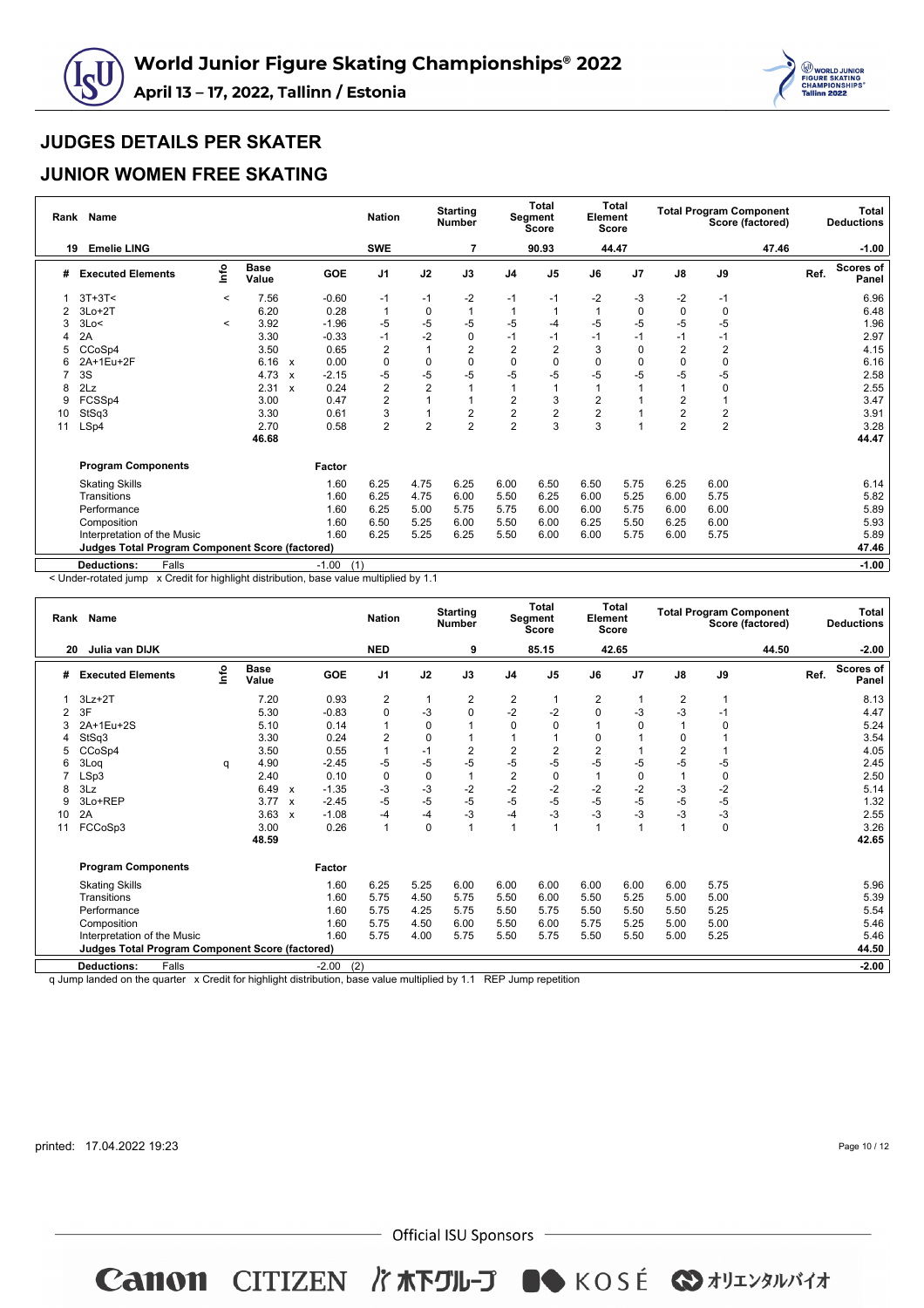



#### **JUNIOR WOMEN FREE SKATING**

|    | Rank Name                                              |         |                      |                           |                | <b>Nation</b>  |                | <b>Starting</b><br><b>Number</b> |                         | <b>Total</b><br>Segment<br><b>Score</b> | Element<br>Score | Total          |                |                | <b>Total Program Component</b><br>Score (factored) |      | <b>Total</b><br><b>Deductions</b> |
|----|--------------------------------------------------------|---------|----------------------|---------------------------|----------------|----------------|----------------|----------------------------------|-------------------------|-----------------------------------------|------------------|----------------|----------------|----------------|----------------------------------------------------|------|-----------------------------------|
| 19 | <b>Emelie LING</b>                                     |         |                      |                           |                | <b>SWE</b>     |                | 7                                |                         | 90.93                                   |                  | 44.47          |                |                | 47.46                                              |      | $-1.00$                           |
| #  | <b>Executed Elements</b>                               | Info    | <b>Base</b><br>Value |                           | <b>GOE</b>     | J <sub>1</sub> | J2             | J3                               | J <sub>4</sub>          | J <sub>5</sub>                          | J6               | J <sub>7</sub> | J8             | J9             |                                                    | Ref. | <b>Scores of</b><br>Panel         |
|    | $3T+3T<$                                               | $\,<\,$ | 7.56                 |                           | $-0.60$        | $-1$           | $-1$           | $-2$                             | $-1$                    | $-1$                                    | $-2$             | -3             | $-2$           | $-1$           |                                                    |      | 6.96                              |
| 2  | $3Lo+2T$                                               |         | 6.20                 |                           | 0.28           | $\mathbf{1}$   | $\mathbf 0$    |                                  |                         |                                         |                  | $\mathbf 0$    | $\mathbf 0$    | $\mathbf 0$    |                                                    |      | 6.48                              |
|    | 3Lo<                                                   | $\,<\,$ | 3.92                 |                           | $-1.96$        | $-5$           | -5             | $-5$                             | -5                      | -4                                      | -5               | $-5$           | $-5$           | $-5$           |                                                    |      | 1.96                              |
|    | 2A                                                     |         | 3.30                 |                           | $-0.33$        | $-1$           | $-2$           | 0                                | $-1$                    | $-1$                                    | $-1$             | $-1$           | $-1$           | $-1$           |                                                    |      | 2.97                              |
| 5  | CCoSp4                                                 |         | 3.50                 |                           | 0.65           | $\overline{2}$ |                | $\overline{2}$                   | $\overline{2}$          | 2                                       | 3                | 0              | $\overline{2}$ | $\overline{2}$ |                                                    |      | 4.15                              |
| 6  | 2A+1Eu+2F                                              |         | 6.16                 | $\mathsf{x}$              | 0.00           | 0              | $\mathbf 0$    | 0                                | $\mathbf 0$             | 0                                       | $\Omega$         | 0              | 0              | 0              |                                                    |      | 6.16                              |
|    | 3S                                                     |         | 4.73                 | $\boldsymbol{\mathsf{x}}$ | $-2.15$        | $-5$           | $-5$           | $-5$                             | $-5$                    | -5                                      | $-5$             | -5             | $-5$           | $-5$           |                                                    |      | 2.58                              |
| 8  | 2Lz                                                    |         | 2.31                 | $\boldsymbol{\mathsf{x}}$ | 0.24           | $\overline{c}$ | $\overline{2}$ |                                  |                         |                                         |                  |                |                | 0              |                                                    |      | 2.55                              |
| 9  | FCSSp4                                                 |         | 3.00                 |                           | 0.47           | $\overline{c}$ |                |                                  | $\overline{\mathbf{c}}$ | 3                                       | $\overline{2}$   |                | 2              |                |                                                    |      | 3.47                              |
| 10 | StSq3                                                  |         | 3.30                 |                           | 0.61           | 3              |                | 2                                | $\overline{2}$          | $\overline{2}$                          | $\overline{2}$   |                | $\overline{2}$ | $\overline{c}$ |                                                    |      | 3.91                              |
| 11 | LSp4                                                   |         | 2.70                 |                           | 0.58           | $\overline{2}$ | $\overline{2}$ | $\overline{2}$                   | $\overline{2}$          | 3                                       | 3                |                | $\overline{2}$ | $\overline{2}$ |                                                    |      | 3.28                              |
|    |                                                        |         | 46.68                |                           |                |                |                |                                  |                         |                                         |                  |                |                |                |                                                    |      | 44.47                             |
|    | <b>Program Components</b>                              |         |                      |                           | Factor         |                |                |                                  |                         |                                         |                  |                |                |                |                                                    |      |                                   |
|    | <b>Skating Skills</b>                                  |         |                      |                           | 1.60           | 6.25           | 4.75           | 6.25                             | 6.00                    | 6.50                                    | 6.50             | 5.75           | 6.25           | 6.00           |                                                    |      | 6.14                              |
|    | Transitions                                            |         |                      |                           | 1.60           | 6.25           | 4.75           | 6.00                             | 5.50                    | 6.25                                    | 6.00             | 5.25           | 6.00           | 5.75           |                                                    |      | 5.82                              |
|    | Performance                                            |         |                      |                           | 1.60           | 6.25           | 5.00           | 5.75                             | 5.75                    | 6.00                                    | 6.00             | 5.75           | 6.00           | 6.00           |                                                    |      | 5.89                              |
|    | Composition                                            |         |                      |                           | 1.60           | 6.50           | 5.25           | 6.00                             | 5.50                    | 6.00                                    | 6.25             | 5.50           | 6.25           | 6.00           |                                                    |      | 5.93                              |
|    | Interpretation of the Music                            |         |                      |                           | 1.60           | 6.25           | 5.25           | 6.25                             | 5.50                    | 6.00                                    | 6.00             | 5.75           | 6.00           | 5.75           |                                                    |      | 5.89                              |
|    | <b>Judges Total Program Component Score (factored)</b> |         |                      |                           |                |                |                |                                  |                         |                                         |                  |                |                |                |                                                    |      | 47.46                             |
|    | <b>Deductions:</b><br>Falls                            |         |                      |                           | (1)<br>$-1.00$ |                |                |                                  |                         |                                         |                  |                |                |                |                                                    |      | $-1.00$                           |

< Under-rotated jump x Credit for highlight distribution, base value multiplied by 1.1

|    | Rank Name                                              |      |                      |                           |            | <b>Nation</b>  |             | <b>Starting</b><br><b>Number</b> |                | <b>Total</b><br>Segment<br><b>Score</b> | Element        | Total<br>Score |                         | <b>Total Program Component</b> | Score (factored) |      | <b>Total</b><br><b>Deductions</b> |
|----|--------------------------------------------------------|------|----------------------|---------------------------|------------|----------------|-------------|----------------------------------|----------------|-----------------------------------------|----------------|----------------|-------------------------|--------------------------------|------------------|------|-----------------------------------|
| 20 | Julia van DIJK                                         |      |                      |                           |            | <b>NED</b>     |             | 9                                |                | 85.15                                   |                | 42.65          |                         |                                | 44.50            |      | $-2.00$                           |
| #  | <b>Executed Elements</b>                               | ١nfo | <b>Base</b><br>Value |                           | <b>GOE</b> | J <sub>1</sub> | J2          | J3                               | J <sub>4</sub> | J <sub>5</sub>                          | J6             | J <sub>7</sub> | $\mathsf{J}8$           | J9                             |                  | Ref. | <b>Scores of</b><br>Panel         |
|    | $3Lz + 2T$                                             |      | 7.20                 |                           | 0.93       | 2              | -1          | 2                                | 2              |                                         | 2              | 1              | 2                       | 1                              |                  |      | 8.13                              |
| 2  | 3F                                                     |      | 5.30                 |                           | $-0.83$    | 0              | $-3$        | $\Omega$                         | $-2$           | $-2$                                    | 0              | $-3$           | $-3$                    | $-1$                           |                  |      | 4.47                              |
| 3  | 2A+1Eu+2S                                              |      | 5.10                 |                           | 0.14       | $\mathbf{1}$   | $\mathbf 0$ |                                  | $\Omega$       | $\Omega$                                |                | $\Omega$       |                         | 0                              |                  |      | 5.24                              |
|    | StSq3                                                  |      | 3.30                 |                           | 0.24       | $\overline{2}$ | $\Omega$    |                                  | $\mathbf 1$    |                                         | $\Omega$       |                | $\Omega$                |                                |                  |      | 3.54                              |
| 5  | CCoSp4                                                 |      | 3.50                 |                           | 0.55       | $\mathbf{1}$   | $-1$        | $\overline{2}$                   | $\overline{2}$ | 2                                       | $\overline{2}$ |                | $\overline{\mathbf{c}}$ |                                |                  |      | 4.05                              |
| 6  | 3Log                                                   | q    | 4.90                 |                           | $-2.45$    | $-5$           | $-5$        | $-5$                             | $-5$           | $-5$                                    | $-5$           | $-5$           | $-5$                    | $-5$                           |                  |      | 2.45                              |
|    | LSp3                                                   |      | 2.40                 |                           | 0.10       | 0              | $\mathbf 0$ |                                  | $\overline{2}$ | 0                                       | 1              | 0              |                         | 0                              |                  |      | 2.50                              |
| 8  | 3Lz                                                    |      | 6.49                 | $\mathsf{x}$              | $-1.35$    | $-3$           | $-3$        | $-2$                             | $-2$           | $-2$                                    | $-2$           | $-2$           | $-3$                    | $-2$                           |                  |      | 5.14                              |
| 9  | 3Lo+REP                                                |      | 3.77                 | $\boldsymbol{\mathsf{x}}$ | $-2.45$    | $-5$           | $-5$        | $-5$                             | $-5$           | $-5$                                    | $-5$           | $-5$           | $-5$                    | $-5$                           |                  |      | 1.32                              |
| 10 | 2A                                                     |      | 3.63                 | $\mathbf{x}$              | $-1.08$    | $-4$           | $-4$        | $-3$                             | $-4$           | $-3$                                    | $-3$           | $-3$           | $-3$                    | $-3$                           |                  |      | 2.55                              |
| 11 | FCCoSp3                                                |      | 3.00                 |                           | 0.26       | $\mathbf{1}$   | $\mathbf 0$ |                                  | 1              |                                         | 1              | 1              | $\overline{ }$          | $\mathbf 0$                    |                  |      | 3.26                              |
|    |                                                        |      | 48.59                |                           |            |                |             |                                  |                |                                         |                |                |                         |                                |                  |      | 42.65                             |
|    | <b>Program Components</b>                              |      |                      |                           | Factor     |                |             |                                  |                |                                         |                |                |                         |                                |                  |      |                                   |
|    | <b>Skating Skills</b>                                  |      |                      |                           | 1.60       | 6.25           | 5.25        | 6.00                             | 6.00           | 6.00                                    | 6.00           | 6.00           | 6.00                    | 5.75                           |                  |      | 5.96                              |
|    | Transitions                                            |      |                      |                           | 1.60       | 5.75           | 4.50        | 5.75                             | 5.50           | 6.00                                    | 5.50           | 5.25           | 5.00                    | 5.00                           |                  |      | 5.39                              |
|    | Performance                                            |      |                      |                           | 1.60       | 5.75           | 4.25        | 5.75                             | 5.50           | 5.75                                    | 5.50           | 5.50           | 5.50                    | 5.25                           |                  |      | 5.54                              |
|    | Composition                                            |      |                      |                           | 1.60       | 5.75           | 4.50        | 6.00                             | 5.50           | 6.00                                    | 5.75           | 5.25           | 5.00                    | 5.00                           |                  |      | 5.46                              |
|    | Interpretation of the Music                            |      |                      |                           | 1.60       | 5.75           | 4.00        | 5.75                             | 5.50           | 5.75                                    | 5.50           | 5.50           | 5.00                    | 5.25                           |                  |      | 5.46                              |
|    | <b>Judges Total Program Component Score (factored)</b> |      |                      |                           |            |                |             |                                  |                |                                         |                |                |                         |                                |                  |      | 44.50                             |
|    | <b>Deductions:</b><br>Falls                            |      |                      |                           | $-2.00$    | (2)            |             |                                  |                |                                         |                |                |                         |                                |                  |      | $-2.00$                           |

q Jump landed on the quarter x Credit for highlight distribution, base value multiplied by 1.1 REP Jump repetition

printed: 17.04.2022 19:23

 $-$  Official ISU Sponsors  $-$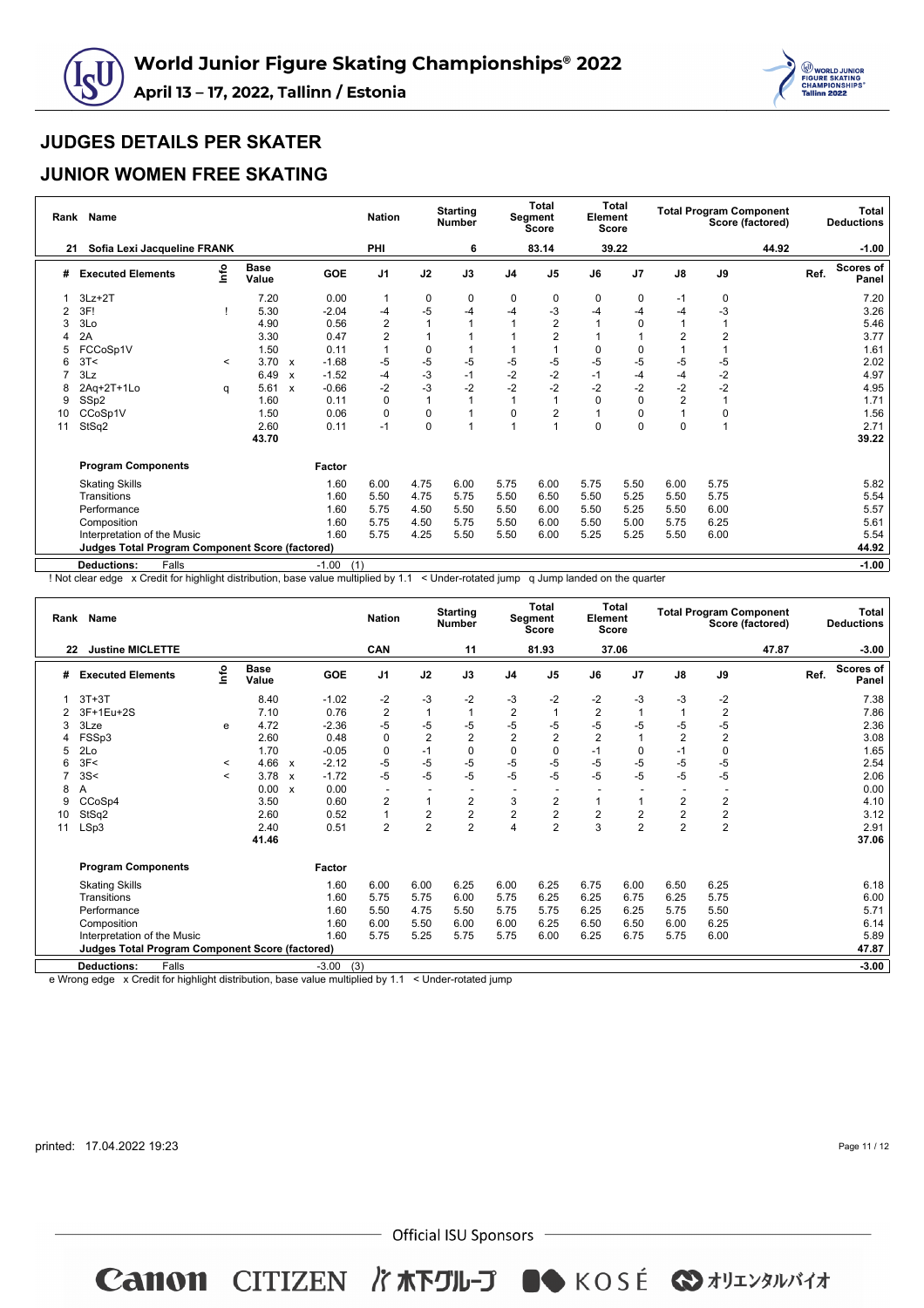



#### **JUNIOR WOMEN FREE SKATING**

| Rank | <b>Name</b>                                            |         |                      |                           |            | <b>Nation</b>  |           | <b>Starting</b><br><b>Number</b> |                | Total<br>Segment<br><b>Score</b> | Element  | Total<br>Score |                         |                | <b>Total Program Component</b><br>Score (factored) |      | Total<br><b>Deductions</b> |
|------|--------------------------------------------------------|---------|----------------------|---------------------------|------------|----------------|-----------|----------------------------------|----------------|----------------------------------|----------|----------------|-------------------------|----------------|----------------------------------------------------|------|----------------------------|
| 21   | Sofia Lexi Jacqueline FRANK                            |         |                      |                           |            | PHI            |           | 6                                |                | 83.14                            |          | 39.22          |                         |                | 44.92                                              |      | $-1.00$                    |
| #    | <b>Executed Elements</b>                               | info    | <b>Base</b><br>Value |                           | <b>GOE</b> | J <sub>1</sub> | J2        | J3                               | J <sub>4</sub> | J <sub>5</sub>                   | J6       | J <sub>7</sub> | J8                      | J9             |                                                    | Ref. | Scores of<br>Panel         |
|      | $3Lz + 2T$                                             |         | 7.20                 |                           | 0.00       | $\overline{1}$ | 0         | 0                                | 0              | 0                                | 0        | 0              | $-1$                    | 0              |                                                    |      | 7.20                       |
| 2    | 3F!                                                    |         | 5.30                 |                           | $-2.04$    | $-4$           | $-5$      | $-4$                             | -4             | -3                               | -4       | -4             | $-4$                    | -3             |                                                    |      | 3.26                       |
|      | 3Lo                                                    |         | 4.90                 |                           | 0.56       | 2              |           |                                  |                | $\overline{2}$                   |          | 0              | 1                       |                |                                                    |      | 5.46                       |
|      | 2A                                                     |         | 3.30                 |                           | 0.47       | 2              |           |                                  |                |                                  |          |                | $\overline{\mathbf{c}}$ | $\overline{2}$ |                                                    |      | 3.77                       |
| 5    | FCCoSp1V                                               |         | 1.50                 |                           | 0.11       |                | 0         |                                  |                |                                  | $\Omega$ | 0              |                         |                |                                                    |      | 1.61                       |
|      | 3T<                                                    | $\,<\,$ | 3.70                 | X                         | $-1.68$    | $-5$           | $-5$      | $-5$                             | -5             | -5                               | -5       | -5             | $-5$                    | $-5$           |                                                    |      | 2.02                       |
|      | 3Lz                                                    |         | 6.49                 | $\boldsymbol{x}$          | $-1.52$    | -4             | $-3$      | $-1$                             | $-2$           | $-2$                             | -1       | $-4$           | $-4$                    | $-2$           |                                                    |      | 4.97                       |
|      | 2Aq+2T+1Lo                                             | q       | 5.61                 | $\boldsymbol{\mathsf{x}}$ | $-0.66$    | $-2$           | $-3$      | $-2$                             | $-2$           | $-2$                             | $-2$     | $-2$           | $-2$                    | $-2$           |                                                    |      | 4.95                       |
| 9    | SSp2                                                   |         | 1.60                 |                           | 0.11       | 0              |           |                                  |                |                                  | $\Omega$ | 0              | $\overline{2}$          |                |                                                    |      | 1.71                       |
| 10   | CCoSp1V                                                |         | 1.50                 |                           | 0.06       | 0              | 0         |                                  | $\Omega$       |                                  |          | 0              | $\mathbf{1}$            | 0              |                                                    |      | 1.56                       |
| 11   | StSq2                                                  |         | 2.60                 |                           | 0.11       | $-1$           | $\pmb{0}$ |                                  |                |                                  | $\Omega$ | 0              | 0                       | $\overline{1}$ |                                                    |      | 2.71                       |
|      |                                                        |         | 43.70                |                           |            |                |           |                                  |                |                                  |          |                |                         |                |                                                    |      | 39.22                      |
|      | <b>Program Components</b>                              |         |                      |                           | Factor     |                |           |                                  |                |                                  |          |                |                         |                |                                                    |      |                            |
|      | <b>Skating Skills</b>                                  |         |                      |                           | 1.60       | 6.00           | 4.75      | 6.00                             | 5.75           | 6.00                             | 5.75     | 5.50           | 6.00                    | 5.75           |                                                    |      | 5.82                       |
|      | Transitions                                            |         |                      |                           | 1.60       | 5.50           | 4.75      | 5.75                             | 5.50           | 6.50                             | 5.50     | 5.25           | 5.50                    | 5.75           |                                                    |      | 5.54                       |
|      | Performance                                            |         |                      |                           | 1.60       | 5.75           | 4.50      | 5.50                             | 5.50           | 6.00                             | 5.50     | 5.25           | 5.50                    | 6.00           |                                                    |      | 5.57                       |
|      | Composition                                            |         |                      |                           | 1.60       | 5.75           | 4.50      | 5.75                             | 5.50           | 6.00                             | 5.50     | 5.00           | 5.75                    | 6.25           |                                                    |      | 5.61                       |
|      | Interpretation of the Music                            |         |                      |                           | 1.60       | 5.75           | 4.25      | 5.50                             | 5.50           | 6.00                             | 5.25     | 5.25           | 5.50                    | 6.00           |                                                    |      | 5.54                       |
|      | <b>Judges Total Program Component Score (factored)</b> |         |                      |                           |            |                |           |                                  |                |                                  |          |                |                         |                |                                                    |      | 44.92                      |
|      | <b>Deductions:</b><br>Falls                            |         |                      | $-1.00$                   |            | (1)            |           |                                  |                |                                  |          |                |                         |                |                                                    |      | $-1.00$                    |

! Not clear edge x Credit for highlight distribution, base value multiplied by 1.1 < Under-rotated jump q Jump landed on the quarter

|    | Rank Name                                              |                       |                      |              |            | <b>Nation</b>            |                | <b>Starting</b><br><b>Number</b> |                | <b>Total</b><br>Segment<br><b>Score</b> | Element        | <b>Total</b><br><b>Score</b> |                | <b>Total Program Component</b> | Score (factored) |      | <b>Total</b><br><b>Deductions</b> |
|----|--------------------------------------------------------|-----------------------|----------------------|--------------|------------|--------------------------|----------------|----------------------------------|----------------|-----------------------------------------|----------------|------------------------------|----------------|--------------------------------|------------------|------|-----------------------------------|
| 22 | <b>Justine MICLETTE</b>                                |                       |                      |              |            | CAN                      |                | 11                               |                | 81.93                                   |                | 37.06                        |                |                                | 47.87            |      | $-3.00$                           |
| #  | <b>Executed Elements</b>                               | info                  | <b>Base</b><br>Value |              | <b>GOE</b> | J <sub>1</sub>           | J2             | J3                               | J <sub>4</sub> | J <sub>5</sub>                          | J6             | J <sub>7</sub>               | $\mathsf{J}8$  | J9                             |                  | Ref. | <b>Scores of</b><br>Panel         |
|    | $3T+3T$                                                |                       | 8.40                 |              | $-1.02$    | $-2$                     | $-3$           | $-2$                             | $-3$           | $-2$                                    | $-2$           | -3                           | $-3$           | $-2$                           |                  |      | 7.38                              |
|    | 3F+1Eu+2S                                              |                       | 7.10                 |              | 0.76       | $\overline{2}$           |                |                                  | $\overline{2}$ |                                         | $\overline{2}$ |                              |                | $\overline{2}$                 |                  |      | 7.86                              |
| 3  | 3Lze                                                   | e                     | 4.72                 |              | $-2.36$    | $-5$                     | $-5$           | $-5$                             | $-5$           | $-5$                                    | $-5$           | $-5$                         | $-5$           | $-5$                           |                  |      | 2.36                              |
|    | FSSp3                                                  |                       | 2.60                 |              | 0.48       | $\mathbf 0$              | $\overline{2}$ | $\overline{2}$                   | $\overline{2}$ | $\overline{2}$                          | $\overline{2}$ |                              | $\overline{2}$ | $\overline{2}$                 |                  |      | 3.08                              |
| 5  | 2Lo                                                    |                       | 1.70                 |              | $-0.05$    | $\mathbf 0$              | $-1$           | 0                                | $\mathbf 0$    | $\Omega$                                | $-1$           | 0                            | $-1$           | $\mathbf 0$                    |                  |      | 1.65                              |
|    | 3F<                                                    | $\prec$               | 4.66                 | $\mathbf{x}$ | $-2.12$    | $-5$                     | $-5$           | $-5$                             | $-5$           | $-5$                                    | -5             | $-5$                         | $-5$           | $-5$                           |                  |      | 2.54                              |
|    | 3S<                                                    | $\tilde{\phantom{0}}$ | 3.78                 | $\mathbf{x}$ | $-1.72$    | $-5$                     | $-5$           | $-5$                             | $-5$           | $-5$                                    | $-5$           | -5                           | $-5$           | $-5$                           |                  |      | 2.06                              |
| 8  | A                                                      |                       | 0.00                 | $\mathbf{x}$ | 0.00       | $\overline{\phantom{a}}$ |                |                                  |                |                                         |                |                              |                |                                |                  |      | 0.00                              |
| 9  | CCoSp4                                                 |                       | 3.50                 |              | 0.60       | $\overline{2}$           |                | 2                                | 3              | $\overline{c}$                          |                |                              | 2              | $\overline{\mathbf{c}}$        |                  |      | 4.10                              |
| 10 | StSq2                                                  |                       | 2.60                 |              | 0.52       | $\overline{1}$           | $\overline{2}$ | $\overline{2}$                   | $\overline{2}$ | $\overline{2}$                          | $\overline{2}$ | $\overline{c}$               | $\overline{2}$ | $\overline{2}$                 |                  |      | 3.12                              |
| 11 | LSp3                                                   |                       | 2.40                 |              | 0.51       | $\overline{2}$           | $\overline{2}$ | $\overline{2}$                   | 4              | $\overline{2}$                          | 3              | $\overline{2}$               | $\overline{2}$ | $\overline{a}$                 |                  |      | 2.91                              |
|    |                                                        |                       | 41.46                |              |            |                          |                |                                  |                |                                         |                |                              |                |                                |                  |      | 37.06                             |
|    | <b>Program Components</b>                              |                       |                      |              | Factor     |                          |                |                                  |                |                                         |                |                              |                |                                |                  |      |                                   |
|    | <b>Skating Skills</b>                                  |                       |                      |              | 1.60       | 6.00                     | 6.00           | 6.25                             | 6.00           | 6.25                                    | 6.75           | 6.00                         | 6.50           | 6.25                           |                  |      | 6.18                              |
|    | Transitions                                            |                       |                      |              | 1.60       | 5.75                     | 5.75           | 6.00                             | 5.75           | 6.25                                    | 6.25           | 6.75                         | 6.25           | 5.75                           |                  |      | 6.00                              |
|    | Performance                                            |                       |                      |              | 1.60       | 5.50                     | 4.75           | 5.50                             | 5.75           | 5.75                                    | 6.25           | 6.25                         | 5.75           | 5.50                           |                  |      | 5.71                              |
|    | Composition                                            |                       |                      |              | 1.60       | 6.00                     | 5.50           | 6.00                             | 6.00           | 6.25                                    | 6.50           | 6.50                         | 6.00           | 6.25                           |                  |      | 6.14                              |
|    | Interpretation of the Music                            |                       |                      |              | 1.60       | 5.75                     | 5.25           | 5.75                             | 5.75           | 6.00                                    | 6.25           | 6.75                         | 5.75           | 6.00                           |                  |      | 5.89                              |
|    | <b>Judges Total Program Component Score (factored)</b> |                       |                      |              |            |                          |                |                                  |                |                                         |                |                              |                |                                |                  |      | 47.87                             |
|    | Falls<br><b>Deductions:</b>                            |                       |                      |              | $-3.00$    | (3)                      |                |                                  |                |                                         |                |                              |                |                                |                  |      | $-3.00$                           |

e Wrong edge x Credit for highlight distribution, base value multiplied by 1.1 < Under-rotated jump

printed: 17.04.2022 19:23

Page 11 / 12

 $-$  Official ISU Sponsors  $-$